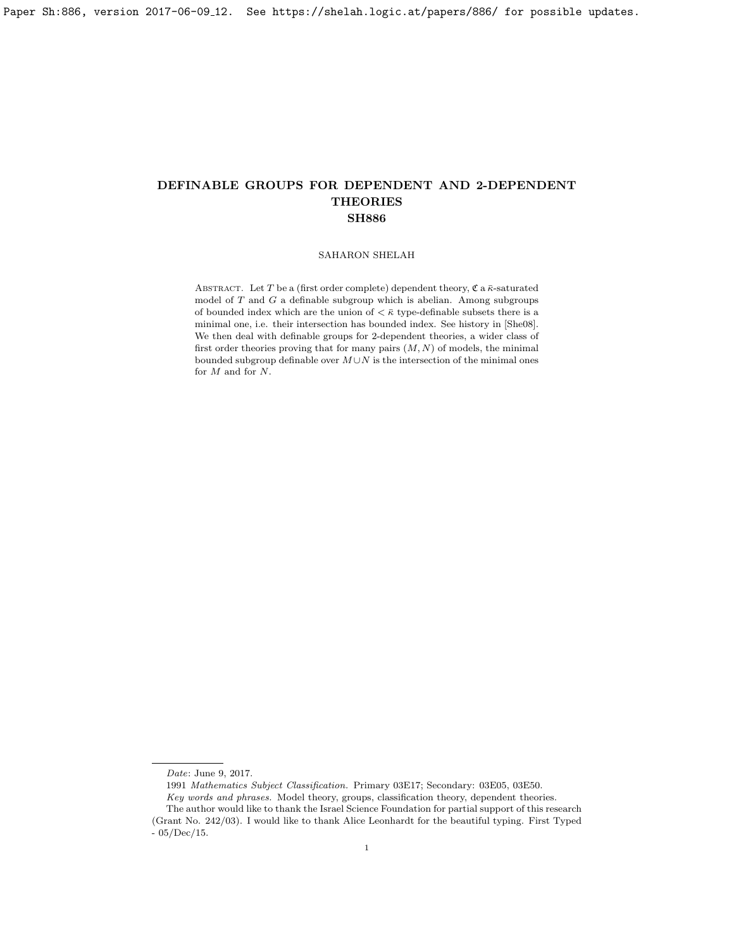## SAHARON SHELAH

ABSTRACT. Let T be a (first order complete) dependent theory,  $\mathfrak{C}$  a  $\bar{\kappa}$ -saturated model of  $T$  and  $G$  a definable subgroup which is abelian. Among subgroups of bounded index which are the union of  $\langle \bar{\kappa} \rangle$  type-definable subsets there is a minimal one, i.e. their intersection has bounded index. See history in [\[She08\]](#page-18-0). We then deal with definable groups for 2-dependent theories, a wider class of first order theories proving that for many pairs  $(M, N)$  of models, the minimal bounded subgroup definable over  $M \cup N$  is the intersection of the minimal ones for M and for N.

Date: June 9, 2017.

<sup>1991</sup> Mathematics Subject Classification. Primary 03E17; Secondary: 03E05, 03E50. Key words and phrases. Model theory, groups, classification theory, dependent theories. The author would like to thank the Israel Science Foundation for partial support of this research (Grant No. 242/03). I would like to thank Alice Leonhardt for the beautiful typing. First Typed

<sup>- 05/</sup>Dec/15.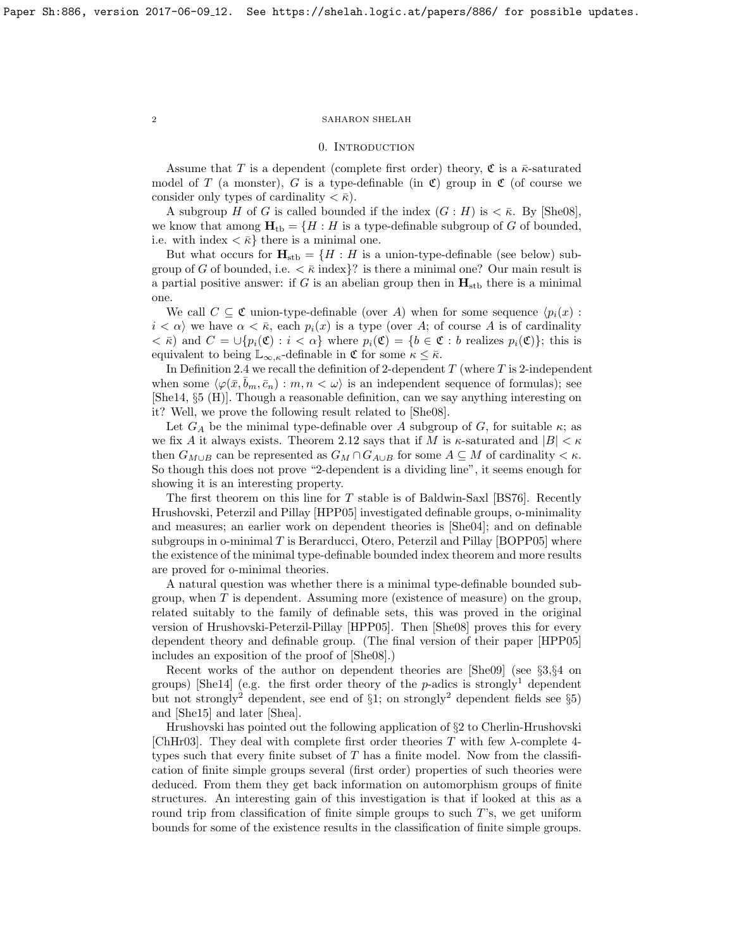### 0. INTRODUCTION

Assume that T is a dependent (complete first order) theory,  $\mathfrak C$  is a  $\bar\kappa$ -saturated model of T (a monster), G is a type-definable (in  $\mathfrak{C}$ ) group in  $\mathfrak{C}$  (of course we consider only types of cardinality  $\langle \bar{\kappa} \rangle$ .

A subgroup H of G is called bounded if the index  $(G : H)$  is  $\lt \bar{\kappa}$ . By [\[She08\]](#page-18-0), we know that among  $\mathbf{H}_{\text{tb}} = \{H : H \text{ is a type-definable subgroup of } G \text{ of bounded,}\}$ i.e. with index  $\langle \bar{\kappa} \rangle$  there is a minimal one.

But what occurs for  $H_{\text{stb}} = \{H : H$  is a union-type-definable (see below) subgroup of G of bounded, i.e.  $\langle \bar{\kappa} \text{ index} \rangle$ ? is there a minimal one? Our main result is a partial positive answer: if  $G$  is an abelian group then in  $H_{\text{stb}}$  there is a minimal one.

We call  $C \subseteq \mathfrak{C}$  union-type-definable (over A) when for some sequence  $\langle p_i(x) :$  $i < \alpha$  we have  $\alpha < \bar{\kappa}$ , each  $p_i(x)$  is a type (over A; of course A is of cardinality  $\langle \overline{\mathcal{R}} \rangle$  and  $C = \bigcup \{p_i(\mathfrak{C}) : i \langle \overline{\mathfrak{C}} \rangle\}$  where  $p_i(\mathfrak{C}) = \{b \in \mathfrak{C} : b \text{ realizes } p_i(\mathfrak{C})\}\}$ ; this is equivalent to being  $\mathbb{L}_{\infty,\kappa}$ -definable in  $\mathfrak{C}$  for some  $\kappa \leq \bar{\kappa}$ .

In Definition [2.4](#page-11-0) we recall the definition of 2-dependent  $T$  (where  $T$  is 2-independent when some  $\langle \varphi(\bar{x}, b_m, \bar{c}_n) : m, n \langle \omega \rangle$  is an independent sequence of formulas); see [\[She14,](#page-18-1) §5 (H)]. Though a reasonable definition, can we say anything interesting on it? Well, we prove the following result related to [\[She08\]](#page-18-0).

Let  $G_A$  be the minimal type-definable over A subgroup of G, for suitable  $\kappa$ ; as we fix A it always exists. Theorem [2.12](#page-14-0) says that if M is  $\kappa$ -saturated and  $|B| < \kappa$ then  $G_{M\cup B}$  can be represented as  $G_M \cap G_{A\cup B}$  for some  $A \subseteq M$  of cardinality  $\lt \kappa$ . So though this does not prove "2-dependent is a dividing line", it seems enough for showing it is an interesting property.

The first theorem on this line for T stable is of Baldwin-Saxl [\[BS76\]](#page-18-2). Recently Hrushovski, Peterzil and Pillay [\[HPP05\]](#page-18-3) investigated definable groups, o-minimality and measures; an earlier work on dependent theories is [\[She04\]](#page-18-4); and on definable subgroups in o-minimal  $T$  is Berarducci, Otero, Peterzil and Pillay [\[BOPP05\]](#page-18-5) where the existence of the minimal type-definable bounded index theorem and more results are proved for o-minimal theories.

A natural question was whether there is a minimal type-definable bounded subgroup, when  $T$  is dependent. Assuming more (existence of measure) on the group, related suitably to the family of definable sets, this was proved in the original version of Hrushovski-Peterzil-Pillay [\[HPP05\]](#page-18-3). Then [\[She08\]](#page-18-0) proves this for every dependent theory and definable group. (The final version of their paper [\[HPP05\]](#page-18-3) includes an exposition of the proof of [\[She08\]](#page-18-0).)

Recent works of the author on dependent theories are [\[She09\]](#page-18-6) (see §3,§4 on groups) [\[She14\]](#page-18-1) (e.g. the first order theory of the  $p$ -adics is strongly<sup>1</sup> dependent but not strongly<sup>2</sup> dependent, see end of  $\S1$ ; on strongly<sup>2</sup> dependent fields see  $\S5$ ) and [\[She15\]](#page-18-7) and later [\[Shea\]](#page-18-8).

Hrushovski has pointed out the following application of §2 to Cherlin-Hrushovski [ChHr03]. They deal with complete first order theories T with few  $\lambda$ -complete 4types such that every finite subset of  $T$  has a finite model. Now from the classification of finite simple groups several (first order) properties of such theories were deduced. From them they get back information on automorphism groups of finite structures. An interesting gain of this investigation is that if looked at this as a round trip from classification of finite simple groups to such T's, we get uniform bounds for some of the existence results in the classification of finite simple groups.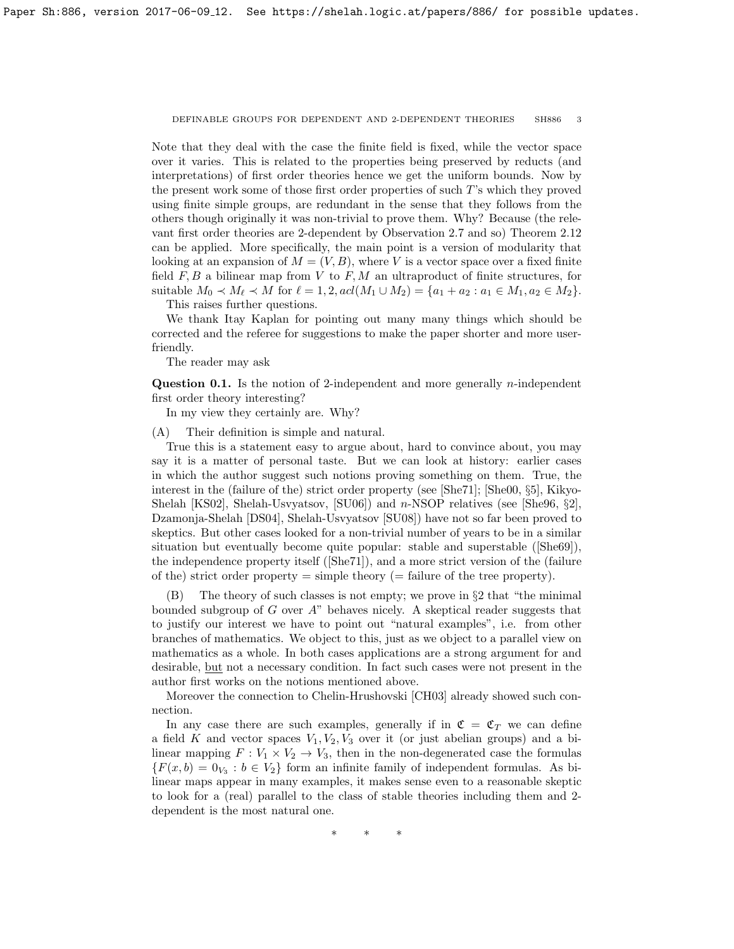Note that they deal with the case the finite field is fixed, while the vector space over it varies. This is related to the properties being preserved by reducts (and interpretations) of first order theories hence we get the uniform bounds. Now by the present work some of those first order properties of such T's which they proved using finite simple groups, are redundant in the sense that they follows from the others though originally it was non-trivial to prove them. Why? Because (the relevant first order theories are 2-dependent by Observation [2.7](#page-13-0) and so) Theorem [2.12](#page-14-0) can be applied. More specifically, the main point is a version of modularity that looking at an expansion of  $M = (V, B)$ , where V is a vector space over a fixed finite field  $F, B$  a bilinear map from  $V$  to  $F, M$  an ultraproduct of finite structures, for suitable  $M_0 \prec M_\ell \prec M$  for  $\ell = 1, 2, \text{acl}(M_1 \cup M_2) = \{a_1 + a_2 : a_1 \in M_1, a_2 \in M_2\}.$ 

This raises further questions.

We thank Itay Kaplan for pointing out many many things which should be corrected and the referee for suggestions to make the paper shorter and more userfriendly.

The reader may ask

**Question 0.1.** Is the notion of 2-independent and more generally *n*-independent first order theory interesting?

In my view they certainly are. Why?

(A) Their definition is simple and natural.

True this is a statement easy to argue about, hard to convince about, you may say it is a matter of personal taste. But we can look at history: earlier cases in which the author suggest such notions proving something on them. True, the interest in the (failure of the) strict order property (see [\[She71\]](#page-18-9); [\[She00,](#page-18-10) §5], Kikyo-Shelah [\[KS02\]](#page-18-11), Shelah-Usvyatsov, [\[SU06\]](#page-18-12)) and n-NSOP relatives (see [\[She96,](#page-18-13) §2], Dzamonja-Shelah [\[DS04\]](#page-18-14), Shelah-Usvyatsov [\[SU08\]](#page-18-15)) have not so far been proved to skeptics. But other cases looked for a non-trivial number of years to be in a similar situation but eventually become quite popular: stable and superstable([\[She69\]](#page-18-16)), the independence property itself([\[She71\]](#page-18-9)), and a more strict version of the (failure of the) strict order property  $=$  simple theory  $(=$  failure of the tree property).

(B) The theory of such classes is not empty; we prove in §2 that "the minimal bounded subgroup of G over  $A$ " behaves nicely. A skeptical reader suggests that to justify our interest we have to point out "natural examples", i.e. from other branches of mathematics. We object to this, just as we object to a parallel view on mathematics as a whole. In both cases applications are a strong argument for and desirable, but not a necessary condition. In fact such cases were not present in the author first works on the notions mentioned above.

Moreover the connection to Chelin-Hrushovski [\[CH03\]](#page-18-17) already showed such connection.

In any case there are such examples, generally if in  $\mathfrak{C} = \mathfrak{C}_T$  we can define a field K and vector spaces  $V_1, V_2, V_3$  over it (or just abelian groups) and a bilinear mapping  $F: V_1 \times V_2 \to V_3$ , then in the non-degenerated case the formulas  ${F(x,b) = 0_{V_3} : b \in V_2}$  form an infinite family of independent formulas. As bilinear maps appear in many examples, it makes sense even to a reasonable skeptic to look for a (real) parallel to the class of stable theories including them and 2 dependent is the most natural one.

∗ ∗ ∗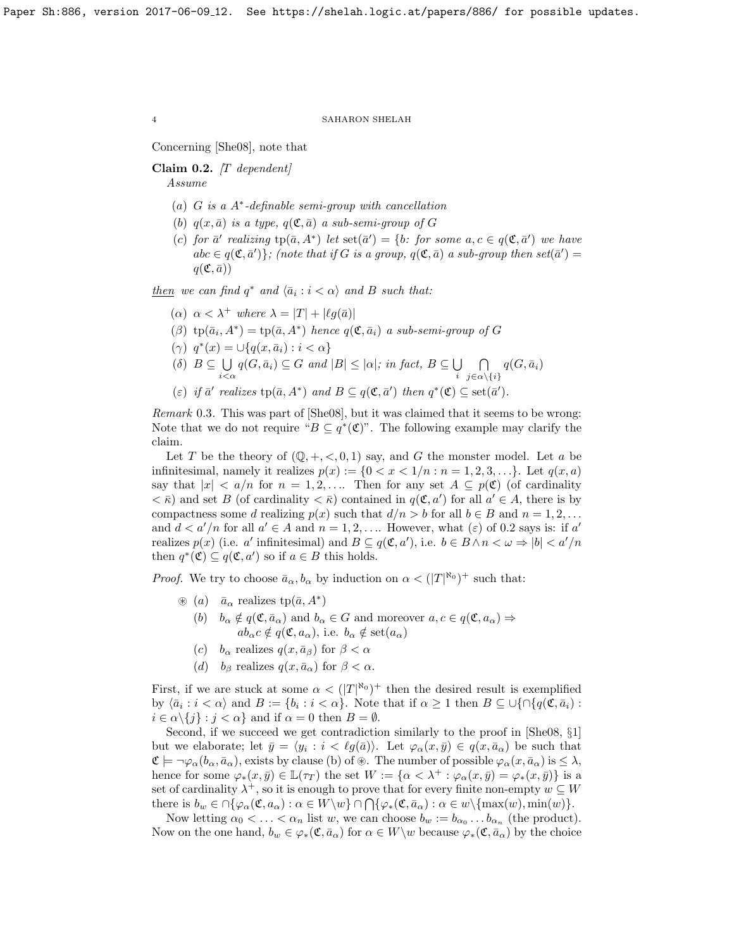Concerning [\[She08\]](#page-18-0), note that

<span id="page-3-0"></span>Claim 0.2.  $\left|T\right\rangle$  dependent Assume

- (a) G is a A<sup>∗</sup> -definable semi-group with cancellation
- (b)  $q(x, \bar{a})$  is a type,  $q(\mathfrak{C}, \bar{a})$  a sub-semi-group of G
- (c) for  $\bar{a}'$  realizing  $tp(\bar{a}, A^*)$  let  $set(\bar{a}') = \{b: \text{ for some } a, c \in q(\mathfrak{C}, \bar{a}') \text{ we have }$  $abc \in q(\mathfrak{C}, \bar{a}')$ ; (note that if G is a group,  $q(\mathfrak{C}, \bar{a})$  a sub-group then  $set(\bar{a}') =$  $q(\mathfrak{C},\bar{a}))$

 $then we can find  $q^*$  and  $\langle \bar{a}_i : i < \alpha \rangle$  and B such that:$ </u>

- ( $\alpha$ )  $\alpha < \lambda^+$  where  $\lambda = |T| + |\ell q(\bar{a})|$
- ( $\beta$ ) tp $(\bar{a}_i, A^*)$  = tp $(\bar{a}, A^*)$  hence  $q(\mathfrak{C}, \bar{a}_i)$  a sub-semi-group of G
- ( $\gamma$ )  $q^*(x) = \bigcup \{ q(x, \bar{a}_i) : i < \alpha \}$
- $(\delta)$   $B \subseteq \bigcup$  $\bigcup_{i<\alpha} q(G,\bar{a}_i) \subseteq G$  and  $|B| \leq |\alpha|$ ; in fact,  $B \subseteq \bigcup_i$ i ⋂  $\bigcap_{j\in \alpha\setminus \{i\}} q(G,\bar{a}_i)$
- (ε) if  $\bar{a}'$  realizes  $\text{tp}(\bar{a}, A^*)$  and  $B \subseteq q(\mathfrak{C}, \bar{a}')$  then  $q^*(\mathfrak{C}) \subseteq \text{set}(\bar{a}')$ .

Remark 0.3. This was part of [\[She08\]](#page-18-0), but it was claimed that it seems to be wrong: Note that we do not require " $B \subseteq q^*(\mathfrak{C})$ ". The following example may clarify the claim.

Let T be the theory of  $(\mathbb{Q}, +, <, 0, 1)$  say, and G the monster model. Let a be infinitesimal, namely it realizes  $p(x) := \{0 < x < 1/n : n = 1, 2, 3, \ldots\}$ . Let  $q(x, a)$ say that  $|x| < a/n$  for  $n = 1, 2, \ldots$  Then for any set  $A \subseteq p(\mathfrak{C})$  (of cardinality  $\langle \bar{\kappa} \rangle$  and set B (of cardinality  $\langle \bar{\kappa} \rangle$  contained in  $q(\mathfrak{C}, a')$  for all  $a' \in A$ , there is by compactness some d realizing  $p(x)$  such that  $d/n > b$  for all  $b \in B$  and  $n = 1, 2, \ldots$ and  $d < a'/n$  for all  $a' \in A$  and  $n = 1, 2, \ldots$  However, what  $(\varepsilon)$  of [0.2](#page-3-0) says is: if a' realizes  $p(x)$  (i.e. a' infinitesimal) and  $B \subseteq q(\mathfrak{C}, a')$ , i.e.  $b \in B \land n < \omega \Rightarrow |b| < a'/n$ then  $q^*(\mathfrak{C}) \subseteq q(\mathfrak{C}, a')$  so if  $a \in B$  this holds.

*Proof.* We try to choose  $\bar{a}_{\alpha}, b_{\alpha}$  by induction on  $\alpha < (|T|^{\aleph_0})^+$  such that:

- $\circledast$  (*a*)  $\bar{a}_{\alpha}$  realizes tp( $\bar{a}$ ,  $A^*$ )
	- (b)  $b_{\alpha} \notin q(\mathfrak{C}, \bar{a}_{\alpha})$  and  $b_{\alpha} \in G$  and moreover  $a, c \in q(\mathfrak{C}, a_{\alpha}) \Rightarrow$  $ab_{\alpha}c \notin q(\mathfrak{C}, a_{\alpha}),$  i.e.  $b_{\alpha} \notin \text{set}(a_{\alpha})$
	- (c)  $b_{\alpha}$  realizes  $q(x, \bar{a}_{\beta})$  for  $\beta < \alpha$
	- (d) b<sub>β</sub> realizes  $q(x, \bar{a}_{\alpha})$  for  $\beta < \alpha$ .

First, if we are stuck at some  $\alpha < (|T|^{\aleph_0})^+$  then the desired result is exemplified by  $\langle \bar{a}_i : i < \alpha \rangle$  and  $B := \{b_i : i < \alpha\}$ . Note that if  $\alpha \geq 1$  then  $B \subseteq \bigcup \{\cap \{q(\mathfrak{C}, \bar{a}_i) :$  $i \in \alpha \setminus \{j\} : j < \alpha\}$  and if  $\alpha = 0$  then  $B = \emptyset$ .

Second, if we succeed we get contradiction similarly to the proof in [\[She08,](#page-18-0) §1] but we elaborate; let  $\bar{y} = \langle y_i : i < \ell g(\bar{a}) \rangle$ . Let  $\varphi_\alpha(x, \bar{y}) \in q(x, \bar{a}_\alpha)$  be such that  $\mathfrak{C} \models \neg \varphi_\alpha(b_\alpha, \bar{a}_\alpha)$ , exists by clause (b) of  $\mathcal{R}$ . The number of possible  $\varphi_\alpha(x, \bar{a}_\alpha)$  is  $\leq \lambda$ , hence for some  $\varphi_*(x, \bar{y}) \in \mathbb{L}(\tau_T)$  the set  $W := {\alpha \langle \lambda^+ : \varphi_\alpha(x, \bar{y}) = \varphi_*(x, \bar{y})\}$  is a set of cardinality  $\lambda^+$ , so it is enough to prove that for every finite non-empty  $w \subseteq W$ there is  $b_w \in \bigcap \{\varphi_\alpha(\mathfrak{C}, a_\alpha) : \alpha \in W \setminus w\} \cap \bigcap \{\varphi_*(\mathfrak{C}, \bar{a}_\alpha) : \alpha \in w \setminus {\max(w), \min(w)}\}.$ 

Now letting  $\alpha_0 < \ldots < \alpha_n$  list w, we can choose  $b_w := b_{\alpha_0} \ldots b_{\alpha_n}$  (the product). Now on the one hand,  $b_w \in \varphi_*(\mathfrak{C}, \bar{a}_\alpha)$  for  $\alpha \in W\setminus w$  because  $\varphi_*(\mathfrak{C}, \bar{a}_\alpha)$  by the choice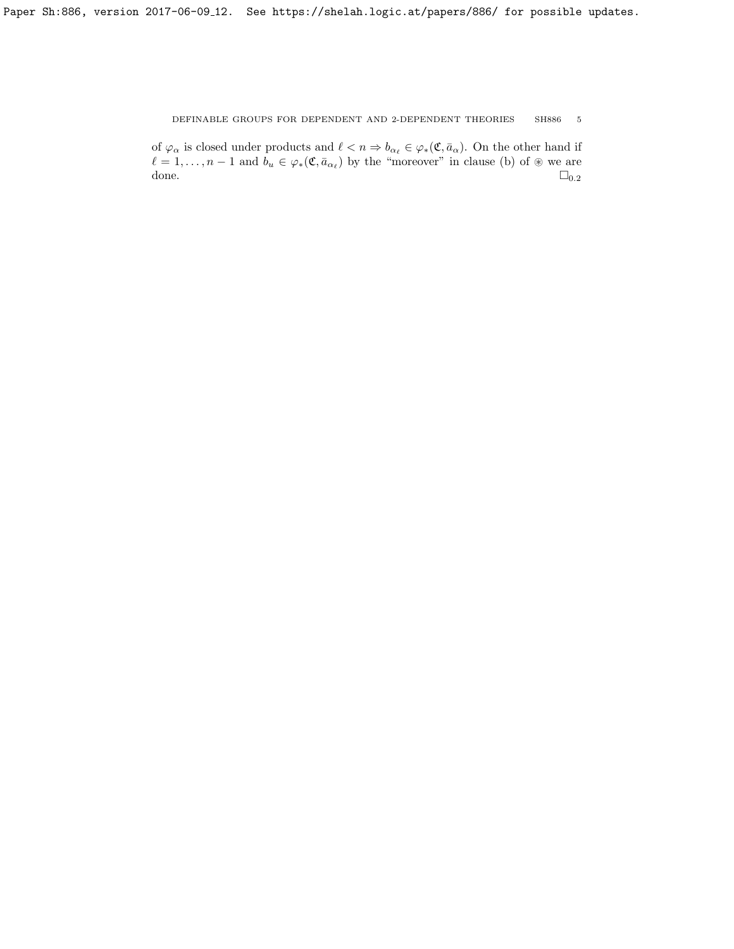of  $\varphi_{\alpha}$  is closed under products and  $\ell < n \Rightarrow b_{\alpha_{\ell}} \in \varphi_*(\mathfrak{C}, \bar{a}_{\alpha})$ . On the other hand if  $\ell = 1, \ldots, n - 1$  and  $b_u \in \varphi_*(\mathfrak{C}, \bar{a}_{\alpha_{\ell}})$  by the "moreover" in clause (b) of  $\circledast$  we are done.  $\square_{0.2}$  $\square_{0.2}$  $\square_{0.2}$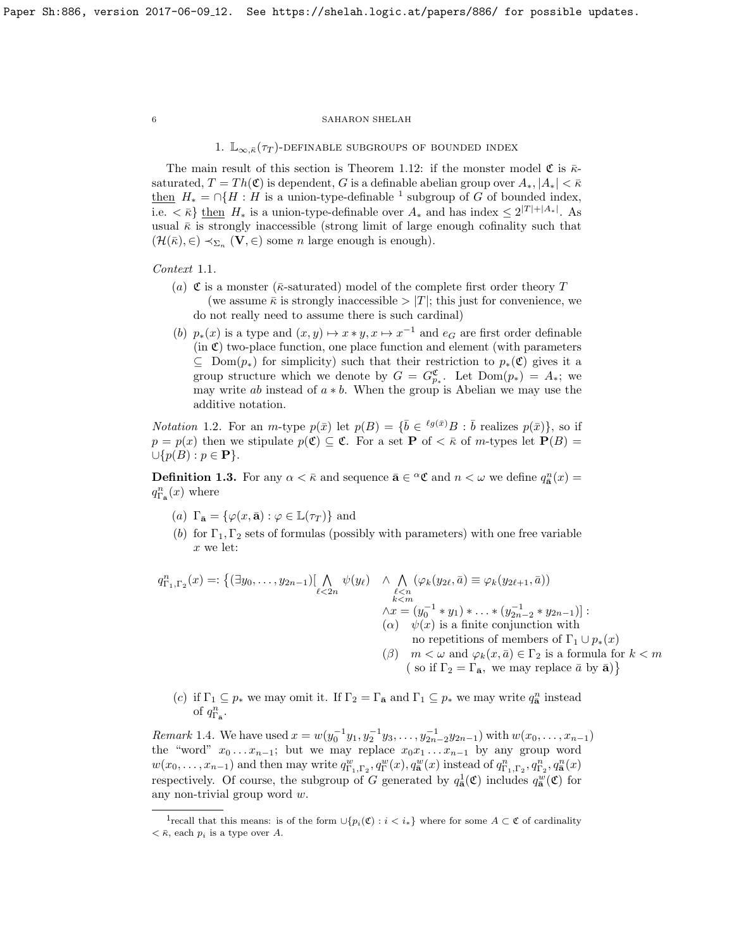1.  $\mathbb{L}_{\infty,\bar{\kappa}}(\tau_T)$ -definable subgroups of bounded index

The main result of this section is Theorem [1.12:](#page-8-0) if the monster model  $\mathfrak{C}$  is  $\bar{\kappa}$ saturated,  $T = Th(\mathfrak{C})$  is dependent, G is a definable abelian group over  $A_*, |A_*| < \bar{\kappa}$ <u>then</u>  $H_* = \bigcap \{H : H$  is a union-type-definable <sup>[1](#page-5-0)</sup> subgroup of G of bounded index, i.e.  $\langle \bar{\kappa} \rangle$  then  $H_*$  is a union-type-definable over  $A_*$  and has index  $\leq 2^{|T|+|A_*|}$ . As usual  $\bar{\kappa}$  is strongly inaccessible (strong limit of large enough cofinality such that  $(\mathcal{H}(\bar{\kappa}), \in) \prec_{\Sigma_n} (\mathbf{V}, \in)$  some *n* large enough is enough).

Context 1.1.

- (a) C is a monster ( $\bar{\kappa}$ -saturated) model of the complete first order theory T (we assume  $\bar{\kappa}$  is strongly inaccessible  $>|T|$ ; this just for convenience, we do not really need to assume there is such cardinal)
- (b)  $p_*(x)$  is a type and  $(x, y) \mapsto x * y, x \mapsto x^{-1}$  and  $e_G$  are first order definable  $(in \mathfrak{C})$  two-place function, one place function and element (with parameters  $\subseteq$  Dom $(p_*)$  for simplicity) such that their restriction to  $p_*(\mathfrak{C})$  gives it a group structure which we denote by  $G = G_{p_*}^{\mathfrak{C}}$ . Let  $Dom(p_*) = A_*$ ; we may write ab instead of  $a * b$ . When the group is Abelian we may use the additive notation.

*Notation* 1.2. For an *m*-type  $p(\bar{x})$  let  $p(B) = {\bar{b} \in {^{\ell g(\bar{x})}}B : \bar{b} \text{ realizes } p(\bar{x})}$ , so if  $p = p(x)$  then we stipulate  $p(\mathfrak{C}) \subseteq \mathfrak{C}$ . For a set **P** of  $\lt$   $\bar{\kappa}$  of m-types let **P**(B) =  $\cup \{p(B) : p \in \mathbf{P}\}.$ 

**Definition 1.3.** For any  $\alpha < \bar{\kappa}$  and sequence  $\bar{\mathbf{a}} \in \alpha \mathfrak{C}$  and  $n < \omega$  we define  $q_{\bar{\mathbf{a}}}^n(x) =$  $q_{\Gamma_{\mathbf{a}}}^n(x)$  where

- (a)  $\Gamma_{\bar{\mathbf{a}}} = {\varphi(x, \bar{\mathbf{a}}) : \varphi \in \mathbb{L}(\tau_T)}$  and
- (b) for  $\Gamma_1, \Gamma_2$  sets of formulas (possibly with parameters) with one free variable x we let:

$$
q_{\Gamma_1,\Gamma_2}^n(x) =: \{ (\exists y_0, \ldots, y_{2n-1}) \left[ \bigwedge_{\ell < 2n} \psi(y_\ell) \land \bigwedge_{\substack{\ell < n \\ k < m}} (\varphi_k(y_{2\ell}, \bar{a}) \equiv \varphi_k(y_{2\ell+1}, \bar{a})) \right. \\ \left. \bigwedge_{\substack{\ell < n \\ \Lambda x = (y_0^{-1} * y_1) * \ldots * (y_{2n-2}^{-1} * y_{2n-1}) \right]:} \left. (\alpha) \quad \psi(x) \text{ is a finite conjunction with} \right. \\ \left. \bigwedge_{\substack{\ell < n \\ n \text{ or repetitions of members of } \Gamma_1 \cup p_*(x) \\ n \text{ or repetitions of members of } \Gamma_1 \cup p_*(x) \\ \left( \beta \right) \quad m < \omega \text{ and } \varphi_k(x, \bar{a}) \in \Gamma_2 \text{ is a formula for } k < m \right.
$$

(c) if  $\Gamma_1 \subseteq p_*$  we may omit it. If  $\Gamma_2 = \Gamma_{\bar{a}}$  and  $\Gamma_1 \subseteq p_*$  we may write  $q_{\bar{a}}^n$  instead of  $q_{\Gamma_{\bar{\mathbf{a}}}^n}^n$ .

*Remark* 1.4. We have used  $x = w(y_0^{-1}y_1, y_2^{-1}y_3, \ldots, y_{2n-2}^{-1}y_{2n-1})$  with  $w(x_0, \ldots, x_{n-1})$ the "word"  $x_0 \ldots x_{n-1}$ ; but we may replace  $x_0 x_1 \ldots x_{n-1}$  by any group word  $w(x_0,\ldots,x_{n-1})$  and then may write  $q_{\Gamma_1,\Gamma_2}^w, q_\Gamma^w(x), q_{\bar{\mathbf{a}}}(x)$  instead of  $q_{\Gamma_1,\Gamma_2}^n, q_{\Gamma_2}^n, q_{\bar{\mathbf{a}}}(x)$ respectively. Of course, the subgroup of G generated by  $q_{\bar{a}}^1(\mathfrak{C})$  includes  $q_{\bar{a}}^w(\mathfrak{C})$  for any non-trivial group word w.

<span id="page-5-0"></span><sup>&</sup>lt;sup>1</sup>recall that this means: is of the form  $\cup \{p_i(\mathfrak{C}) : i < i_*\}$  where for some  $A \subset \mathfrak{C}$  of cardinality  $\langle \bar{\kappa}, \text{each } p_i \text{ is a type over } A.$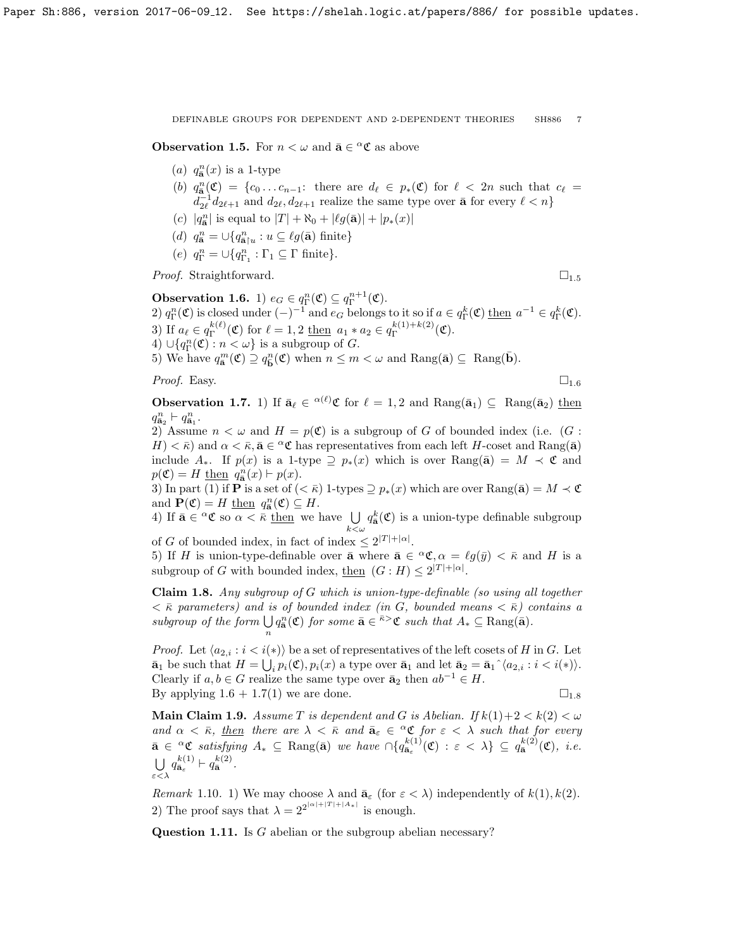<span id="page-6-0"></span>**Observation 1.5.** For  $n < \omega$  and  $\bar{\mathbf{a}} \in \alpha \mathfrak{C}$  as above

- (a)  $q_{\overline{\mathbf{a}}}^n(x)$  is a 1-type
- (b)  $q_{\overline{\mathbf{a}}}^n(\mathfrak{C}) = \{c_0 \ldots c_{n-1}: \text{ there are } d_\ell \in p_*(\mathfrak{C}) \text{ for } \ell < 2n \text{ such that } c_\ell =$  $d_{2\ell}^{-1} d_{2\ell+1}$  and  $d_{2\ell}, d_{2\ell+1}$  realize the same type over  $\bar{\mathbf{a}}$  for every  $\ell < n$ }
- (c)  $|q_{\mathbf{a}}^{n}|$  is equal to  $|T| + \aleph_0 + |\ell g(\mathbf{\bar{a}})| + |p_*(x)|$
- (d)  $q_{\overline{\mathbf{a}}}^n = \bigcup \{ q_{\overline{\mathbf{a}}\upharpoonright u}^n : u \subseteq \ell g(\overline{\mathbf{a}})$  finite}
- (e)  $q_{\Gamma}^n = \bigcup \{q_{\Gamma_1}^n : \Gamma_1 \subseteq \Gamma \text{ finite}\}.$

*Proof.* Straightforward.  $\square_{1.5}$  $\square_{1.5}$  $\square_{1.5}$ 

<span id="page-6-1"></span>**Observation 1.6.** 1)  $e_G \in q_\Gamma^n(\mathfrak{C}) \subseteq q_\Gamma^{n+1}(\mathfrak{C})$ . **Observation 1.0.** 1)  $e_G \in q_\Gamma(\mathfrak{C}) \subseteq q_\Gamma(\mathfrak{C})$ .<br>
2)  $q_\Gamma^n(\mathfrak{C})$  is closed under  $(-)^{-1}$  and  $e_G$  belongs to it so if  $a \in q_\Gamma^k(\mathfrak{C})$  then  $a^{-1} \in q_\Gamma^k(\mathfrak{C})$ . 3) If  $a_\ell \in q_\Gamma^{k(\ell)}$  $f_{\Gamma}^{k(\ell)}(\mathfrak{C})$  for  $\ell = 1, 2$  <u>then</u>  $a_1 * a_2 \in q_{\Gamma}^{k(1) + k(2)}$  $\int_{\Gamma}^{\kappa(1)+\kappa(2)}(\mathfrak{C}).$ 4)  $\cup \{q_{\Gamma}^n(\mathfrak{C}) : n < \omega \}$  is a subgroup of G.

5) We have  $q_{\mathbf{\bar{a}}}^{m}(\mathfrak{C}) \supseteq q_{\mathbf{\bar{b}}}^{n}(\mathfrak{C})$  when  $n \leq m < \omega$  and Rang( $\mathbf{\bar{a}}) \subseteq \text{Rang}(\mathbf{\bar{b}})$ .

*Proof.* Easy.  $\Box_{1.6}$  $\Box_{1.6}$  $\Box_{1.6}$ 

<span id="page-6-2"></span>**Observation 1.7.** 1) If  $\bar{\mathbf{a}}_{\ell} \in {}^{\alpha(\ell)}\mathfrak{C}$  for  $\ell = 1, 2$  and  $\text{Rang}(\bar{\mathbf{a}}_1) \subseteq \text{Rang}(\bar{\mathbf{a}}_2)$  then  $q_{\bar{\mathbf{a}}_2}^n \vdash q_{\bar{\mathbf{a}}_1}^n$ .

2) Assume  $n < \omega$  and  $H = p(\mathfrak{C})$  is a subgroup of G of bounded index (i.e. (G :  $H$  <  $\bar{\kappa}$ ) and  $\alpha < \bar{\kappa}$ ,  $\bar{\mathbf{a}} \in \alpha \mathfrak{C}$  has representatives from each left H-coset and Rang( $\bar{\mathbf{a}}$ ) include  $A_*$ . If  $p(x)$  is a 1-type  $\supseteq p_*(x)$  which is over  $\text{Rang}(\bar{a}) = M \prec \mathfrak{C}$  and  $p(\mathfrak{C}) = H$  then  $q_{\mathbf{a}}^n(x) \vdash p(x)$ .

3) In part (1) if **P** is a set of  $( $\bar{\kappa}$ )$  1-types  $\supseteq p_*(x)$  which are over Rang( $\bar{\mathbf{a}}$ ) =  $M \prec \mathfrak{C}$ and  $\mathbf{P}(\mathfrak{C}) = H$  then  $q_{\mathbf{\bar{a}}}^n(\mathfrak{C}) \subseteq H$ .

4) If  $\bar{\mathbf{a}} \in \alpha \mathfrak{C}$  so  $\alpha < \bar{\kappa}$  then we have  $\bigcup$  $k<\omega$  $q_{\bar{\mathbf{a}}}^{k}(\mathfrak{C})$  is a union-type definable subgroup

of G of bounded index, in fact of index  $\leq 2^{|T|+|\alpha|}$ .

5) If H is union-type-definable over  $\bar{\mathbf{a}}$  where  $\bar{\mathbf{a}} \in {}^{\alpha} \mathfrak{C}, \alpha = \ell g(\bar{y}) < \bar{\kappa}$  and H is a subgroup of G with bounded index, then  $(G : H) \leq 2^{|T| + |\alpha|}$ .

<span id="page-6-3"></span>Claim 1.8. Any subgroup of G which is union-type-definable (so using all together  $<\bar{\kappa}$  parameters) and is of bounded index (in G, bounded means  $<\bar{\kappa}$ ) contains a subgroup of the form  $\bigcup q_{\bar{a}}^n(\mathfrak{C})$  for some  $\bar{a} \in \bar{\kappa} > \mathfrak{C}$  such that  $A_* \subseteq \text{Rang}(\bar{a})$ . n

*Proof.* Let  $\langle a_{2,i} : i \langle i \rangle \rangle$  be a set of representatives of the left cosets of H in G. Let  $\bar{\mathbf{a}}_1$  be such that  $H = \bigcup_i p_i(\mathfrak{C}), p_i(x)$  a type over  $\bar{\mathbf{a}}_1$  and let  $\bar{\mathbf{a}}_2 = \bar{\mathbf{a}}_1^{\hat{}} \langle a_{2,i} : i \langle i \rangle \rangle$ . Clearly if  $a, b \in G$  realize the same type over  $\bar{a}_2$  then  $ab^{-1} \in H$ . By applying  $1.6 + 1.7(1)$  $1.6 + 1.7(1)$  $1.6 + 1.7(1)$  $1.6 + 1.7(1)$  we are done.  $\square_{1.8}$ 

<span id="page-6-4"></span>**Main Claim 1.9.** Assume T is dependent and G is Abelian. If  $k(1)+2 < k(2) < \omega$ and  $\alpha < \bar{\kappa}$ , then there are  $\lambda < \bar{\kappa}$  and  $\bar{a}_{\varepsilon} \in {}^{\alpha} \mathfrak{C}$  for  $\varepsilon < \lambda$  such that for every  $\bar{\mathbf{a}} \in \alpha \mathfrak{C}$  satisfying  $A_* \subseteq \text{Rang}(\bar{\mathbf{a}})$  we have  $\bigcap \{q_{\bar{\mathbf{a}}_{\varepsilon}}^{k(1)}(\mathfrak{C}) : \varepsilon < \lambda \} \subseteq q_{\bar{\mathbf{a}}}^{k(2)}(\mathfrak{C}),$  i.e.  $\bigcup q_{\bar{\mathbf{a}}_{\varepsilon}}^{k(1)} \vdash q_{\bar{\mathbf{a}}}^{k(2)}.$ ε<λ

Remark 1.10. 1) We may choose  $\lambda$  and  $\bar{\mathbf{a}}_{\varepsilon}$  (for  $\varepsilon < \lambda$ ) independently of  $k(1), k(2)$ . 2) The proof says that  $\lambda = 2^{2^{|\alpha|+|T|+|A_*|}}$  is enough.

Question 1.11. Is G abelian or the subgroup abelian necessary?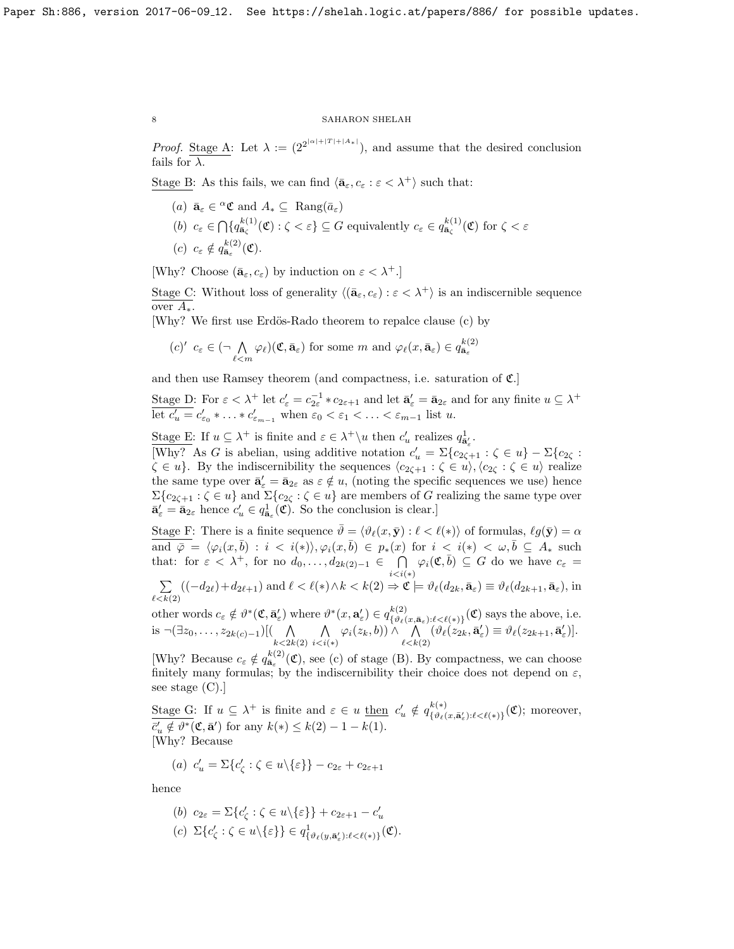*Proof.* Stage A: Let  $\lambda := (2^{2^{|\alpha|+|T|+|A_*|}})$ , and assume that the desired conclusion fails for  $\lambda$ .

Stage B: As this fails, we can find  $\langle \bar{\mathbf{a}}_{\varepsilon}, c_{\varepsilon} : \varepsilon < \lambda^+ \rangle$  such that:

(a)  $\bar{\mathbf{a}}_{\varepsilon} \in {}^{\alpha} \mathfrak{C}$  and  $A_* \subseteq \text{Rang}(\bar{a}_{\varepsilon})$ (b)  $c_{\varepsilon} \in \bigcap \{q_{\bar{\mathbf{a}}_{\zeta}}^{k(1)}(\mathfrak{C}) : \zeta < \varepsilon \} \subseteq G$  equivalently  $c_{\varepsilon} \in q_{\bar{\mathbf{a}}_{\zeta}}^{k(1)}(\mathfrak{C})$  for  $\zeta < \varepsilon$ (c)  $c_{\varepsilon} \notin q_{\bar{\mathbf{a}}_{\varepsilon}}^{k(2)}(\mathfrak{C}).$ 

[Why? Choose  $(\bar{a}_{\varepsilon}, c_{\varepsilon})$  by induction on  $\varepsilon < \lambda^+$ .]

Stage C: Without loss of generality  $\langle (\bar{a}_{\varepsilon}, c_{\varepsilon}) : \varepsilon < \lambda^+ \rangle$  is an indiscernible sequence over  $A_*$ .

[Why? We first use Erdös-Rado theorem to repalce clause (c) by

$$
(c)' c_{\varepsilon} \in (\neg \bigwedge_{\ell < m} \varphi_{\ell})(\mathfrak{C}, \bar{\mathbf{a}}_{\varepsilon}) \text{ for some } m \text{ and } \varphi_{\ell}(x, \bar{\mathbf{a}}_{\varepsilon}) \in q_{\bar{\mathbf{a}}_{\varepsilon}}^{k(2)}
$$

and then use Ramsey theorem (and compactness, i.e. saturation of  $\mathfrak{C}$ .)

Stage D: For  $\varepsilon < \lambda^+$  let  $c'_{\varepsilon} = c_{2\varepsilon}^{-1} * c_{2\varepsilon+1}$  and let  $\bar{\mathbf{a}}'_{\varepsilon} = \bar{\mathbf{a}}_{2\varepsilon}$  and for any finite  $u \subseteq \lambda^+$ let  $c'_u = c'_{\varepsilon_0} * \ldots * c'_{\varepsilon_{m-1}}$  when  $\varepsilon_0 < \varepsilon_1 < \ldots < \varepsilon_{m-1}$  list u.

Stage E: If  $u \subseteq \lambda^+$  is finite and  $\varepsilon \in \lambda^+ \setminus u$  then  $c'_u$  realizes  $q_{\mathbf{a}'_e}^1$ .

[Why? As G is abelian, using additive notation  $c'_u = \sum{c_{2\zeta+1} : \zeta \in u} - \sum{c_{2\zeta}}$ :  $\zeta \in u$ . By the indiscernibility the sequences  $\langle c_{2\zeta+1} : \zeta \in u \rangle$ ,  $\langle c_{2\zeta} : \zeta \in u \rangle$  realize the same type over  $\bar{\mathbf{a}}'_{\varepsilon} = \bar{\mathbf{a}}_{2\varepsilon}$  as  $\varepsilon \notin u$ , (noting the specific sequences we use) hence  $\Sigma\{c_{2\zeta+1}:\zeta\in u\}$  and  $\Sigma\{c_{2\zeta}:\zeta\in u\}$  are members of G realizing the same type over  $\bar{\mathbf{a}}'_{\varepsilon} = \bar{\mathbf{a}}_{2\varepsilon}$  hence  $c'_{u} \in q_{\bar{\mathbf{a}}_{\varepsilon}}^1(\mathfrak{C})$ . So the conclusion is clear.]

Stage F: There is a finite sequence  $\bar{\vartheta} = \langle \vartheta_\ell(x, \bar{y}) : \ell \langle \ell(x) \rangle$  of formulas,  $\ell g(\bar{y}) = \alpha$ and  $\overline{\varphi} = \langle \varphi_i(x, \overline{b}) : i \langle i(x), \varphi_i(x, \overline{b}) \rangle \in p_*(x) \text{ for } i \langle i(x), \overline{b} \rangle \subseteq A_* \text{ such that } \overline{\varphi} = \langle \varphi_i(x, \overline{b}) : i \langle i(x), \overline{b} \rangle \subseteq B_* \rangle$ that: for  $\varepsilon < \lambda^+$ , for no  $d_0, \ldots, d_{2k(2)-1} \in \bigcap$  $\bigcap_{i do we have  $c_{\varepsilon}=$$ 

$$
\sum_{\ell < k(2)} \left( (-d_{2\ell}) + d_{2\ell+1} \right) \text{ and } \ell < \ell(*) \land k < k(2) \Rightarrow \mathfrak{C} \models \vartheta_{\ell}(d_{2k}, \bar{\mathbf{a}}_{\varepsilon}) \equiv \vartheta_{\ell}(d_{2k+1}, \bar{\mathbf{a}}_{\varepsilon}), \text{ in}
$$

other words  $c_{\varepsilon} \notin \vartheta^*(\mathfrak{C}, \bar{\mathbf{a}}'_{\varepsilon})$  where  $\vartheta^*(x, \mathbf{a}'_{\varepsilon}) \in q_{\{\vartheta_{\ell}\}}^{k(2)}$  $\{\mathcal{B}^{(k)}(x,\bar{\mathbf{a}}_{\varepsilon}): \ell \leq \ell(*)\} (\mathfrak{C})$  says the above, i.e. is  $\neg(\exists z_0, \ldots, z_{2k(c)-1})$ [(
<sub>k <2k(2)</sub>  $\wedge$  $\bigwedge_{i$  $\bigwedge_{\ell < k(2)}^{\curvearrowleft}(\vartheta_\ell(z_{2k},\bar{\mathbf{a}}_\varepsilon')\equiv \vartheta_\ell(z_{2k+1},\bar{\mathbf{a}}_\varepsilon')].$ 

[Why? Because  $c_{\varepsilon} \notin q_{\bar{\mathbf{a}}_{\varepsilon}}^{k(2)}(\mathfrak{C})$ , see (c) of stage (B). By compactness, we can choose finitely many formulas; by the indiscernibility their choice does not depend on  $\varepsilon$ , see stage (C).]

Stage G: If  $u \subseteq \lambda^+$  is finite and  $\varepsilon \in u$  then  $c'_u \notin q_{\{\vartheta_\ell\}}^{k(*)}$  $\{\vartheta_\ell(x,\bar{\mathbf{a}}_\varepsilon'):\ell\lt\ell(*)\}(\mathfrak{C})$ ; moreover,  $\bar{c}'_u \notin \vartheta^*(\mathfrak{C}, \bar{\mathbf{a}}')$  for any  $k(*) \leq k(2) - 1 - k(1)$ . [Why? Because

(a) 
$$
c'_u = \sum \{c'_\zeta : \zeta \in u \setminus \{\varepsilon\}\} - c_{2\varepsilon} + c_{2\varepsilon+1}
$$

hence

(b) 
$$
c_{2\varepsilon} = \Sigma \{c'_{\zeta} : \zeta \in u \setminus \{\varepsilon\}\} + c_{2\varepsilon+1} - c'_{u}
$$

(c)  $\Sigma\{c_{\zeta}':\zeta\in u\setminus\{\varepsilon\}\}\in q^1_{\{\vartheta_\ell(y,\bar{\mathbf{a}}_\varepsilon'):\ell<\ell(*)\}}(\mathfrak{C}).$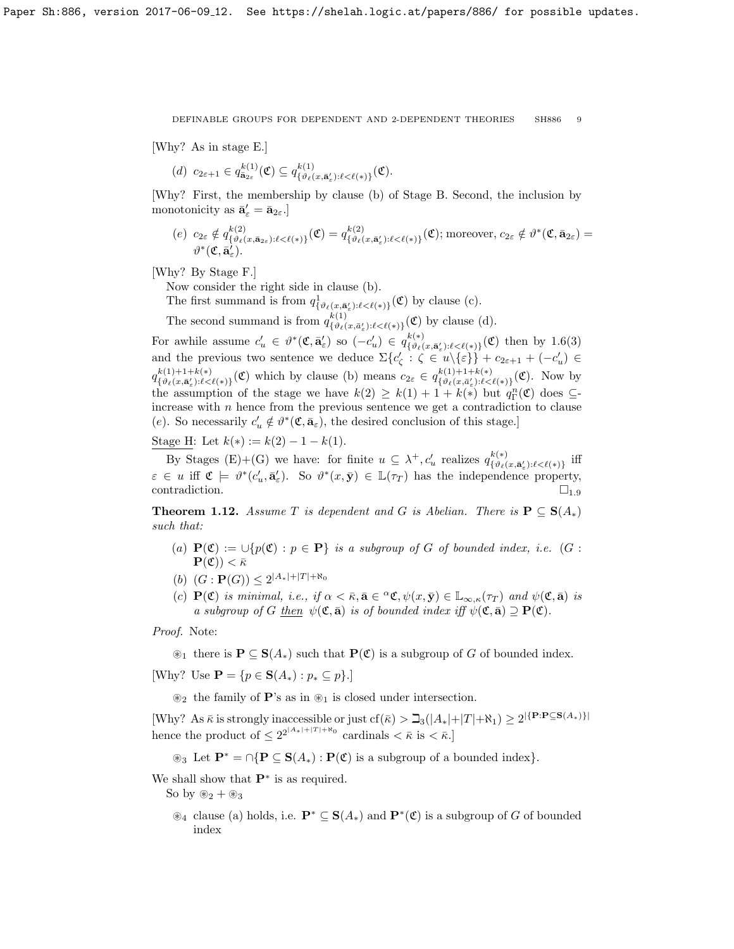[Why? As in stage E.]

$$
(d) \ c_{2\varepsilon+1} \in q_{\mathbf{a}_{2\varepsilon}}^{k(1)}(\mathfrak{C}) \subseteq q_{\{\vartheta_{\ell}(x,\mathbf{a}_{\varepsilon}^{\prime});\ell < \ell(\ast)\}}^{k(1)}(\mathfrak{C}).
$$

[Why? First, the membership by clause (b) of Stage B. Second, the inclusion by monotonicity as  $\bar{\mathbf{a}}'_{\varepsilon} = \bar{\mathbf{a}}_{2\varepsilon}$ .

(e)  $c_{2\varepsilon} \notin q_{\{y_{\ell}(\varepsilon)}^{k(2)}$  $\frac{k(2)}{\{\vartheta_\ell(x,\bar{\mathbf{a}}_{2\varepsilon}): \ell < \ell(*)\}}(\mathfrak{C}) = q_{\{\vartheta_\ell(\ell)}\}^{k(2)}$  $\{\delta^{(k(2))}_{\{\vartheta_\ell(x,\bar{\mathbf{a}}_\varepsilon'):\ell<\ell(*)\}}(\mathfrak{C}); \text{moreover}, c_{2\varepsilon}\notin \vartheta^*(\mathfrak{C},\bar{\mathbf{a}}_{2\varepsilon})=0\}$  $\vartheta^*(\mathfrak{C},\bar{\mathbf{a}}^{\prime}_{\varepsilon}).$ 

[Why? By Stage F.]

Now consider the right side in clause (b).

The first summand is from  $q^1_{\{\vartheta_\ell(x,\bar{\mathbf{a}}'_\ell):\ell\leq\ell(*)\}}(\mathfrak{C})$  by clause (c).

The second summand is from  $q_{f_3f_4}^{k(1)}$  $\mathcal{L}_{\{\vartheta_{\ell}(x,\bar{a}_{\varepsilon}'):\ell<\ell(*)\}}(\mathfrak{C})$  by clause (d).

For awhile assume  $c'_u \in \theta^*(\mathfrak{C}, \bar{\mathbf{a}}'_\varepsilon)$  so  $(-c'_u) \in q_{\{\theta_\ell(\varepsilon)\}}^{k(*)}$  $\mathcal{L}_{\{\vartheta_{\ell}(x,\bar{\mathbf{a}}'_{\epsilon}): \ell < \ell(*)\}}^{k(*)}(\mathfrak{C})$  then by [1.6\(](#page-6-1)3) and the previous two sentence we deduce  $\Sigma\{c_{\zeta}': \zeta \in u \setminus \{\varepsilon\}\} + c_{2\varepsilon+1} + (-c'_u) \in$  $q_{f,9}(x; \mathbf{5}) + 1 + k(*)$  $k(1)+1+k(*)$ <br>{ $\vartheta_\ell(x,\bar{\mathbf{a}}'_\varepsilon):\ell\leq\ell(*)$ }(C) which by clause (b) means  $c_{2\varepsilon} \in q_{\{\vartheta_\ell(x,\bar{\mathbf{a}}'_\varepsilon):\ell\leq\ell}$  $\{\vartheta_\ell(x,\bar{a}_\varepsilon'):\ell<\ell(*)\}(\mathfrak{C})$ . Now by the assumption of the stage we have  $k(2) \geq k(1) + 1 + k(*)$  but  $q_{\Gamma}^{n}(\mathfrak{C})$  does  $\subseteq$ increase with  $n$  hence from the previous sentence we get a contradiction to clause (e). So necessarily  $c'_u \notin \theta^*(\mathfrak{C}, \bar{\mathbf{a}}_{\varepsilon})$ , the desired conclusion of this stage.]

Stage H: Let  $k(*) := k(2) - 1 - k(1)$ .

By Stages (E)+(G) we have: for finite  $u \subseteq \lambda^+, c'_u$  realizes  $q_{\{\vartheta_i\}}^{k(*)}$  $\sup_{\{\vartheta_\ell(x,\bar{\mathbf{a}}_\varepsilon'):\ell<\ell(*)\}}$  iff  $\varepsilon \in u$  iff  $\mathfrak{C} \models \vartheta^*(c_u', \bar{\mathbf{a}}'_\varepsilon)$ . So  $\vartheta^*(x, \bar{\mathbf{y}}) \in \mathbb{L}(\tau_T)$  has the independence property, contradiction.  $\Box_{1,9}$  $\Box_{1,9}$  $\Box_{1,9}$ 

<span id="page-8-0"></span>**Theorem 1.12.** Assume T is dependent and G is Abelian. There is  $\mathbf{P} \subseteq \mathbf{S}(A_*)$ such that:

- (a)  $\mathbf{P}(\mathfrak{C}) := \bigcup \{p(\mathfrak{C}) : p \in \mathbf{P}\}\$ is a subgroup of G of bounded index, i.e. (G :  $\mathbf{P}(\mathfrak{C})) < \bar{\kappa}$
- (b)  $(G: \mathbf{P}(G)) \leq 2^{|A_*|+|T|+ \aleph_0}$
- (c)  $P(\mathfrak{C})$  is minimal, i.e., if  $\alpha < \bar{\kappa}, \bar{\mathbf{a}} \in {}^{\alpha}\mathfrak{C}, \psi(x, \bar{y}) \in \mathbb{L}_{\infty,\kappa}(\tau_T)$  and  $\psi(\mathfrak{C}, \bar{\mathbf{a}})$  is a subgroup of G <u>then</u>  $\psi(\mathfrak{C},\bar{\mathbf{a}})$  is of bounded index iff  $\psi(\mathfrak{C},\bar{\mathbf{a}})\supseteq \mathbf{P}(\mathfrak{C})$ .

Proof. Note:

 $\mathfrak{D}_1$  there is  $\mathbf{P} \subseteq \mathbf{S}(A_*)$  such that  $\mathbf{P}(\mathfrak{C})$  is a subgroup of G of bounded index.

[Why? Use  $\mathbf{P} = \{p \in \mathbf{S}(A_*) : p_* \subseteq p\}.$ ]

 $\mathscr{D}_2$  the family of **P**'s as in  $\mathscr{D}_1$  is closed under intersection.

[Why? As  $\bar{\kappa}$  is strongly inaccessible or just cf( $\bar{\kappa}$ ) >  $\exists$ <sub>3</sub>( $|A_*|+|T|+\aleph_1$ ) ≥ 2<sup>|{P:P⊆S(A<sub>\*</sub>)}|</sup> hence the product of  $\leq 2^{2^{|A_*|+|T|+ \aleph_0}}$  cardinals  $\lt \bar{\kappa}$  is  $\lt \bar{\kappa}$ .

 $\circledast_3$  Let  $\mathbf{P}^* = \bigcap {\mathbf{P} \subseteq \mathbf{S}(A_*) : \mathbf{P}(\mathfrak{C}) \text{ is a subgroup of a bounded index}}.$ 

We shall show that  $\mathbf{P}^*$  is as required.

So by  $\mathcal{R}_2 + \mathcal{R}_3$ 

 $\mathscr{E}_4$  clause (a) holds, i.e.  $\mathbf{P}^* \subseteq \mathbf{S}(A_*)$  and  $\mathbf{P}^*(\mathfrak{C})$  is a subgroup of G of bounded index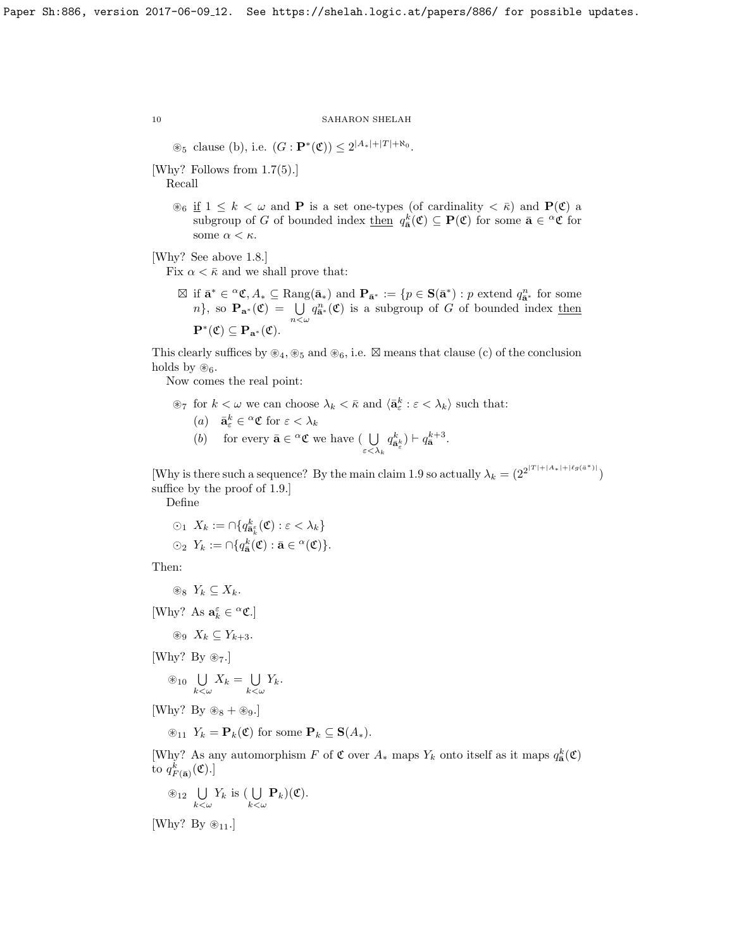$\otimes_5$  clause (b), i.e.  $(G: \mathbf{P}^*(\mathfrak{C})) \leq 2^{|A_*|+|T|+ \aleph_0}$ .

[Why? Follows from [1.7\(](#page-6-2)5).]

Recall

 $\mathcal{B}_6$  if  $1 \leq k < \omega$  and **P** is a set one-types (of cardinality  $\langle \overline{\kappa} \rangle$ ) and **P**( $\mathfrak{C}$ ) a subgroup of G of bounded index  $\underline{\text{then}}\ q_{\bar{\mathbf{a}}}^k(\mathfrak{C}) \subseteq \mathbf{P}(\mathfrak{C})$  for some  $\bar{\mathbf{a}} \in {}^{\alpha}\mathfrak{C}$  for some  $\alpha<\kappa.$ 

[Why? See above [1.8.](#page-6-3)]

Fix  $\alpha < \bar{\kappa}$  and we shall prove that:

 $\boxtimes$  if  $\bar{\mathbf{a}}^* \in {}^{\alpha} \mathfrak{C}, A_* \subseteq \text{Rang}(\bar{\mathbf{a}}_*)$  and  $\mathbf{P}_{\bar{\mathbf{a}}^*} := \{p \in \mathbf{S}(\bar{\mathbf{a}}^*) : p \text{ extend } q^n_{\bar{\mathbf{a}}^*} \text{ for some } \bar{\mathbf{a}}_k\}$ n}, so  $\mathbf{P}_{\mathbf{a}^*}(\mathfrak{C}) = \bigcup_{n \leq \omega} q_{\mathbf{a}^*}^n(\mathfrak{C})$  is a subgroup of G of bounded index then  $\mathbf{P}^*(\mathfrak{C}) \subseteq \mathbf{P}_{\mathbf{a}^*}(\mathfrak{C}).$ 

This clearly suffices by  $\mathcal{L}_4, \mathcal{L}_5$  and  $\mathcal{L}_6$ , i.e.  $\boxtimes$  means that clause (c) of the conclusion holds by  $\mathscr{B}_6$ .

Now comes the real point:

 $\otimes_7$  for  $k < \omega$  we can choose  $\lambda_k < \bar{\kappa}$  and  $\langle \bar{\mathbf{a}}_{\varepsilon}^k : \varepsilon < \lambda_k \rangle$  such that:

(a) 
$$
\bar{\mathbf{a}}_{\varepsilon}^k \in {}^{\alpha} \mathfrak{C}
$$
 for  $\varepsilon < \lambda_k$ 

(b) for every  $\bar{\mathbf{a}} \in {}^{\alpha} \mathfrak{C}$  we have (  $\bigcup$ ε $<\lambda_k$  $q_{\bar{\mathbf{a}}_{{\varepsilon}}}^{k}$  )  $\vdash q_{\bar{\mathbf{a}}}^{k+3}$ .

[Why is there such a sequence? By the main claim [1.9](#page-6-4) so actually  $\lambda_k = (2^{2^{|T|+|A_*|+|\ell g(a^*)|}})$ suffice by the proof of [1.9.](#page-6-4)]

Define

$$
\begin{aligned} \odot_1 \; X_k &:= \cap \{ q_{\mathbf{a}_{k}^{\varepsilon}}^{\varepsilon}(\mathfrak{C}) : \varepsilon < \lambda_k \} \\ \odot_2 \; Y_k &:= \cap \{ q_{\mathbf{a}}^k(\mathfrak{C}) : \bar{\mathbf{a}} \in \alpha(\mathfrak{C}) \}. \end{aligned}
$$

Then:

$$
\circledast_8 Y_k \subseteq X_k.
$$

[Why? As  $\mathbf{a}_k^{\varepsilon} \in {}^{\alpha} \mathfrak{C}$ .]

$$
\circledast_9 X_k \subseteq Y_{k+3}.
$$

[Why? By  $\otimes_7$ .]

$$
\circledast_{10} \bigcup_{k < \omega} X_k = \bigcup_{k < \omega} Y_k.
$$

[Why? By  $\otimes_8 + \otimes_9$ .]

 $\mathcal{L}_{11}$   $Y_k = \mathbf{P}_k(\mathfrak{C})$  for some  $\mathbf{P}_k \subseteq \mathbf{S}(A_*)$ .

[Why? As any automorphism F of  $\mathfrak C$  over  $A_*$  maps  $Y_k$  onto itself as it maps  $q_{\bar{\mathbf a}}^k(\mathfrak C)$ to  $q_{F(\bar{\mathbf{a}})}^{k}(\mathfrak{C}).$ 

$$
\circledast_{12} \bigcup_{k < \omega} Y_k \text{ is } (\bigcup_{k < \omega} \mathbf{P}_k)(\mathfrak{C}).
$$

[Why? By  $\otimes_{11}$ .]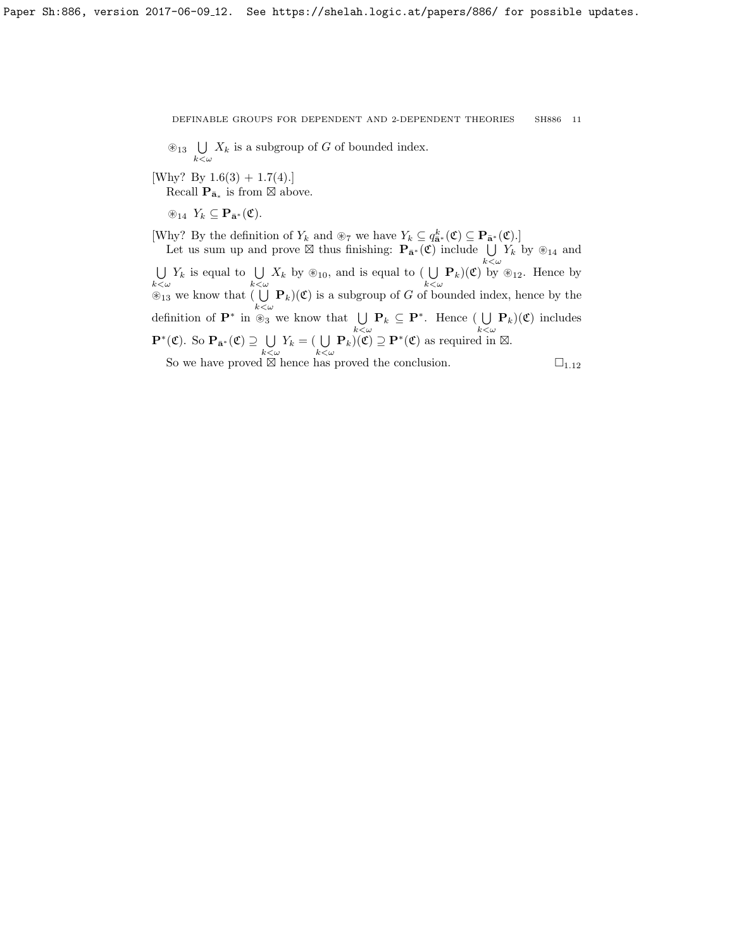$\bigotimes_{13}$   $\bigcup_{k<\omega} X_k$  is a subgroup of G of bounded index.

[Why? By  $1.6(3) + 1.7(4)$  $1.6(3) + 1.7(4)$  $1.6(3) + 1.7(4)$ .]

Recall  $\mathbf{P}_{\bar{\mathbf{a}}_*}$  is from  $\boxtimes$  above.

 $\circledast_{14} Y_k \subseteq \mathbf{P}_{\bar{\mathbf{a}}^*}(\mathfrak{C}).$ 

[Why? By the definition of  $Y_k$  and  $\otimes_7$  we have  $Y_k \subseteq q_{\bar{\mathbf{a}}^*}^k(\mathfrak{C}) \subseteq \mathbf{P}_{\bar{\mathbf{a}}^*}(\mathfrak{C})$ .]

Let us sum up and prove  $\boxtimes$  thus finishing:  $\mathbf{P}_{\bar{\mathbf{a}}^*}(\mathfrak{C})$  include  $\bigcup_{k < \omega} Y_k$  by  $\circledast_{14}$  and U  $\bigcup_{k<\omega} Y_k$  is equal to  $\bigcup_{k<\omega} X_k$  by  $\circledast_{10}$ , and is equal to  $\bigcup_{k<\omega} \mathbf{P}_k$  $\big)(\mathfrak{C})$  by  $\circledast_{12}$ . Hence by  $\mathcal{L}_{13}$  we know that  $\left(\bigcup_{k \leq \omega} \mathbf{P}_k\right)(\mathfrak{C})$  is a subgroup of G of bounded index, hence by the definition of  $\mathbf{P}^*$  in  $\overset{\infty}{\otimes}_3$  we know that  $\bigcup_{k<\omega}\mathbf{P}_k \subseteq \mathbf{P}^*$ . Hence  $\bigcup_{k<\omega}$  $\bigcup_{k < \omega} \mathbf{P}_k$  $(\mathfrak{C})$  includes  $\mathbf{P}^*(\mathfrak{C})$ . So  $\mathbf{P}_{\bar{\mathbf{a}}^*}(\mathfrak{C}) \supseteq \bigcup$  $\bigcup_{k < \omega} Y_k = (\bigcup_{k < \omega} \mathbf{P}_k)(\mathfrak{C}) \supseteq \mathbf{P}^*(\mathfrak{C})$  as required in  $\boxtimes$ . So we have proved  $\boxtimes$  hence has proved the conclusion. hence has proved the conclusion.  $\square_{1.12}$  $\square_{1.12}$  $\square_{1.12}$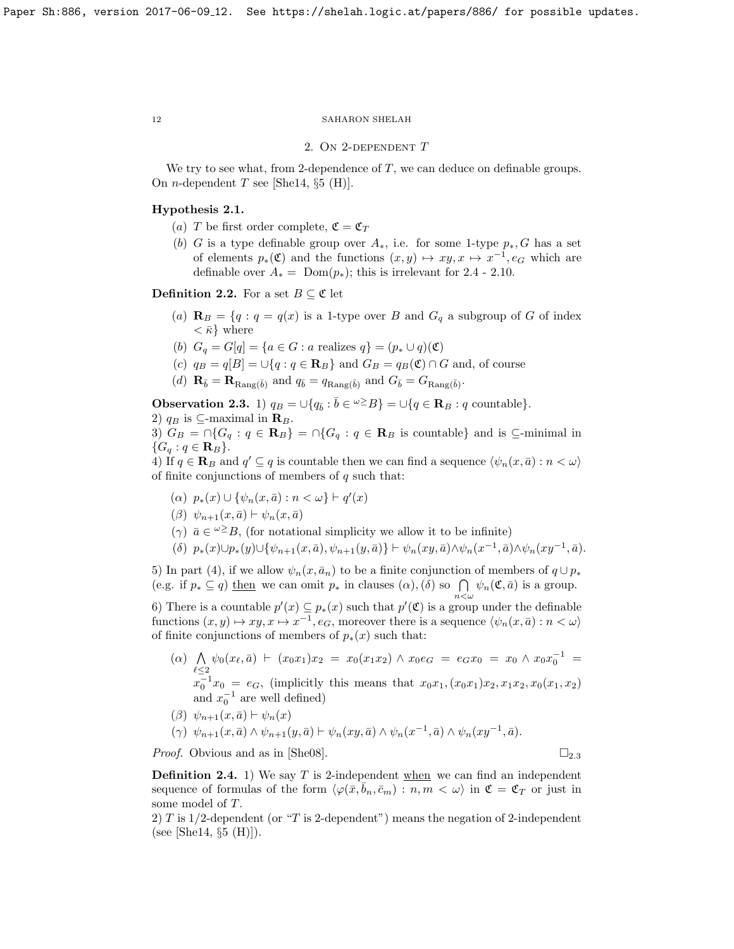### 2. ON 2-DEPENDENT T

We try to see what, from 2-dependence of  $T$ , we can deduce on definable groups. On *n*-dependent T see [\[She14,](#page-18-1)  $\S5$  (H)].

# <span id="page-11-3"></span>Hypothesis 2.1.

- (a) T be first order complete,  $\mathfrak{C} = \mathfrak{C}_T$
- (b) G is a type definable group over  $A_*$ , i.e. for some 1-type  $p_*, G$  has a set of elements  $p_*(\mathfrak{C})$  and the functions  $(x, y) \mapsto xy, x \mapsto x^{-1}, e_G$  which are definableover  $A_* = \text{Dom}(p_*)$ ; this is irrelevant for [2.4](#page-11-0) - [2.10.](#page-14-1)

<span id="page-11-2"></span>**Definition 2.2.** For a set  $B \subseteq \mathfrak{C}$  let

- (a)  $\mathbf{R}_B = \{q : q = q(x) \text{ is a 1-type over } B \text{ and } G_q \text{ a subgroup of } G \text{ of index } \}$  $\langle \bar{\kappa} \rangle$  where
- (b)  $G_q = G[q] = \{a \in G : a \text{ realizes } q\} = (p_* \cup q)(\mathfrak{C})$
- (c)  $q_B = q[B] = \bigcup \{q : q \in \mathbf{R}_B\}$  and  $G_B = q_B(\mathfrak{C}) \cap G$  and, of course
- (d)  $\mathbf{R}_{\bar{b}} = \mathbf{R}_{\text{Rang}(\bar{b})}$  and  $q_{\bar{b}} = q_{\text{Rang}(\bar{b})}$  and  $G_{\bar{b}} = G_{\text{Rang}(\bar{b})}$ .

<span id="page-11-1"></span>**Observation 2.3.** 1)  $q_B = \bigcup \{ q_{\bar{b}} : \bar{b} \in {}^{\omega \geq} B \} = \bigcup \{ q \in \mathbf{R}_B : q \text{ countable} \}.$ 

2)  $q_B$  is ⊆-maximal in  $\mathbf{R}_B$ .

3)  $G_B = \bigcap \{G_q : q \in \mathbf{R}_B\} = \bigcap \{G_q : q \in \mathbf{R}_B \text{ is countable}\}\$ and is  $\subseteq$ -minimal in  ${G_q : q \in \mathbf{R}_B}.$ 

4) If  $q \in \mathbf{R}_B$  and  $q' \subseteq q$  is countable then we can find a sequence  $\langle \psi_n(x, \bar{a}) : n < \omega \rangle$ of finite conjunctions of members of  $q$  such that:

- (a)  $p_*(x) \cup \{\psi_n(x, \bar{a}) : n < \omega\} \vdash q'(x)$
- $(\beta) \psi_{n+1}(x, \bar{a}) \vdash \psi_n(x, \bar{a})$
- ( $\gamma$ )  $\bar{a} \in \mathcal{L}^{\infty}$ B, (for notational simplicity we allow it to be infinite)
- $( \delta)$   $p_*(x) \cup p_*(y) \cup {\psi_{n+1}(x, \bar{a}), \psi_{n+1}(y, \bar{a})} \vdash \psi_n(xy, \bar{a}) \wedge \psi_n(x^{-1}, \bar{a}) \wedge \psi_n(xy^{-1}, \bar{a}).$

5) In part (4), if we allow  $\psi_n(x, \bar{a}_n)$  to be a finite conjunction of members of  $q \cup p_*$ (e.g. if  $p_* \subseteq q$ ) then we can omit  $p_*$  in clauses  $(\alpha)$ ,  $(\delta)$  so  $\bigcap_{n<\omega} \psi_n(\mathfrak{C},\bar{a})$  is a group.

6) There is a countable  $p'(x) \subseteq p_*(x)$  such that  $p'(\mathfrak{C})$  is a group under the definable functions  $(x, y) \mapsto xy, x \mapsto x^{-1}, e_G$ , moreover there is a sequence  $\langle \psi_n(x, \bar{a}) : n < \omega \rangle$ of finite conjunctions of members of  $p_*(x)$  such that:

- $(α)$  Λ  $\bigwedge_{\ell \leq 2} \psi_0(x_\ell, \bar{a}) \ \vdash \ (x_0 x_1) x_2 \ = \ x_0(x_1 x_2) \ \land \ x_0 e_G \ = \ e_G x_0 \ = \ x_0 \ \land \ x_0 x_0^{-1} \ =$  $x_0^{-1}x_0 = e_G$ , (implicitly this means that  $x_0x_1, (x_0x_1)x_2, x_1x_2, x_0(x_1, x_2)$ and  $x_0^{-1}$  are well defined)
- $(\beta) \psi_{n+1}(x, \bar{a}) \vdash \psi_n(x)$
- $(\gamma) \psi_{n+1}(x,\bar{a}) \wedge \psi_{n+1}(y,\bar{a}) \vdash \psi_n(xy,\bar{a}) \wedge \psi_n(x^{-1},\bar{a}) \wedge \psi_n(xy^{-1},\bar{a}).$

*Proof.* Obvious and as in [\[She08\]](#page-18-0).  $\square_{2.3}$  $\square_{2.3}$  $\square_{2.3}$ 

<span id="page-11-0"></span>**Definition 2.4.** 1) We say T is 2-independent when we can find an independent sequence of formulas of the form  $\langle \varphi(\bar{x}, \bar{b}_n, \bar{c}_m) : n, m < \omega \rangle$  in  $\mathfrak{C} = \mathfrak{C}_T$  or just in some model of T.

2) T is 1/2-dependent (or "T is 2-dependent") means the negation of 2-independent (see [\[She14,](#page-18-1)  $\S5$  (H)]).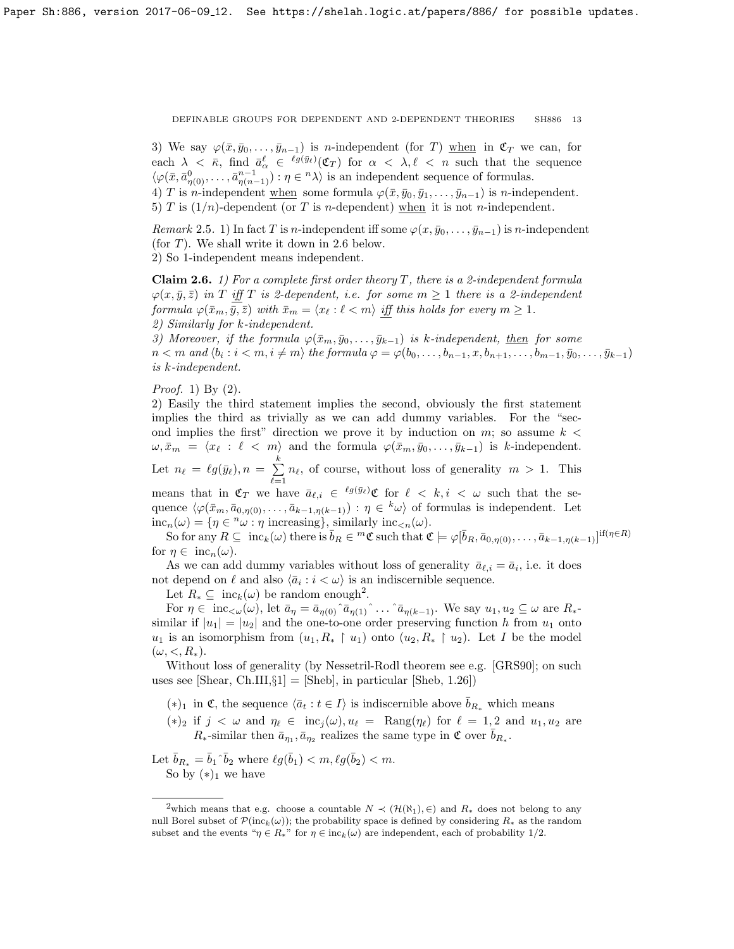3) We say  $\varphi(\bar{x}, \bar{y}_0, \ldots, \bar{y}_{n-1})$  is n-independent (for T) when in  $\mathfrak{C}_T$  we can, for each  $\lambda < \bar{\kappa}$ , find  $\bar{a}^{\ell}_{\alpha} \in {}^{\ell g(\bar{y}_{\ell})}(\mathfrak{C}_T)$  for  $\alpha < \lambda, \ell < n$  such that the sequence  $\langle \varphi(\bar{x}, \bar{a}_{\eta(0)}^0, \ldots, \bar{a}_{\eta(n-1)}^{n-1}) : \eta \in {}^n \lambda \rangle$  is an independent sequence of formulas. 4) T is n-independent when some formula  $\varphi(\bar{x}, \bar{y}_0, \bar{y}_1, \ldots, \bar{y}_{n-1})$  is n-independent.

5) T is  $(1/n)$ -dependent (or T is n-dependent) when it is not n-independent.

Remark 2.5. 1) In fact T is n-independent iff some  $\varphi(x, \bar{y}_0, \ldots, \bar{y}_{n-1})$  is n-independent (for T). We shall write it down in [2.6](#page-12-0) below. 2) So 1-independent means independent.

<span id="page-12-0"></span>**Claim 2.6.** 1) For a complete first order theory T, there is a 2-independent formula  $\varphi(x, \bar{y}, \bar{z})$  in T iff T is 2-dependent, i.e. for some  $m \geq 1$  there is a 2-independent formula  $\varphi(\bar{x}_m, \bar{y}, \bar{z})$  with  $\bar{x}_m = \langle x_\ell : \ell < m \rangle$  iff this holds for every  $m \geq 1$ . 2) Similarly for k-independent.

3) Moreover, if the formula  $\varphi(\bar{x}_m, \bar{y}_0, \ldots, \bar{y}_{k-1})$  is k-independent, then for some  $n < m$  and  $\langle b_i : i < m, i \neq m \rangle$  the formula  $\varphi = \varphi(b_0, \ldots, b_{n-1}, x, b_{n+1}, \ldots, b_{m-1}, \bar{y}_0, \ldots, \bar{y}_{k-1})$ is k-independent.

Proof. 1) By (2).

2) Easily the third statement implies the second, obviously the first statement implies the third as trivially as we can add dummy variables. For the "second implies the first" direction we prove it by induction on  $m$ ; so assume  $k <$  $\omega, \bar{x}_m = \langle x_\ell : \ell < m \rangle$  and the formula  $\varphi(\bar{x}_m, \bar{y}_0, \ldots, \bar{y}_{k-1})$  is k-independent. Let  $n_\ell = \ell g(\bar{y}_\ell), n = \sum^k$  $\sum_{\ell=1} n_{\ell}$ , of course, without loss of generality  $m > 1$ . This means that in  $\mathfrak{C}_T$  we have  $\bar{a}_{\ell,i} \in {^{\ell g(\bar{y}_\ell)}\mathfrak{C}}$  for  $\ell < k, i < \omega$  such that the se-

quence  $\langle \varphi(\bar{x}_m, \bar{a}_{0,\eta(0)}, \ldots, \bar{a}_{k-1,\eta(k-1)}) : \eta \in {k\omega} \rangle$  of formulas is independent. Let  $inc_n(\omega) = \{ \eta \in \infty : \eta \text{ increasing} \}, \text{ similarly inc}_{\leq n}(\omega).$ 

So for any  $R \subseteq \text{inc}_k(\omega)$  there is  $\bar{b}_R \in {}^m \mathfrak{C}$  such that  $\mathfrak{C} \models \varphi[\bar{b}_R, \bar{a}_{0,\eta(0)}, \ldots, \bar{a}_{k-1,\eta(k-1)}]^{\text{if }(\eta \in R)}$ for  $\eta \in \text{inc}_n(\omega)$ .

As we can add dummy variables without loss of generality  $\bar{a}_{\ell,i} = \bar{a}_i$ , i.e. it does not depend on  $\ell$  and also  $\langle \bar{a}_i : i < \omega \rangle$  is an indiscernible sequence.

Let  $R_* \subseteq \text{inc}_k(\omega)$  be random enough<sup>[2](#page-12-1)</sup>.

For  $\eta \in \text{inc}_{\lt \omega}(\omega)$ , let  $\bar{a}_{\eta} = \bar{a}_{\eta(0)} \hat{a}_{\eta(1)} \hat{a}_{\eta(k-1)}$ . We say  $u_1, u_2 \subseteq \omega$  are  $R_*$ similar if  $|u_1| = |u_2|$  and the one-to-one order preserving function h from  $u_1$  onto  $u_1$  is an isomorphism from  $(u_1, R_* \upharpoonright u_1)$  onto  $(u_2, R_* \upharpoonright u_2)$ . Let I be the model  $(\omega, \langle, R_*).$ 

Without loss of generality (by Nessetril-Rodl theorem see e.g. [\[GRS90\]](#page-18-18); on such uses see [\[Shear,](#page-18-19) Ch.III, $\S1$ ] = [\[Sheb\]](#page-18-20), in particular [\[Sheb,](#page-18-20) 1.26])

- $(*)_1$  in **€**, the sequence  $\langle \bar{a}_t : t \in I \rangle$  is indiscernible above  $\bar{b}_{R_*}$  which means
- (\*)<sub>2</sub> if  $j < \omega$  and  $\eta_{\ell} \in inc_j(\omega), u_{\ell} = \text{Rang}(\eta_{\ell})$  for  $\ell = 1, 2$  and  $u_1, u_2$  are  $R_*$ -similar then  $\bar{a}_{\eta_1}, \bar{a}_{\eta_2}$  realizes the same type in  $\mathfrak{C}$  over  $\bar{b}_{R_*}$ .

Let  $\bar{b}_{R_*} = \bar{b}_1 \hat{b}_2$  where  $\ell g(\bar{b}_1) < m, \ell g(\bar{b}_2) < m$ . So by  $(*)_1$  we have

<span id="page-12-1"></span><sup>&</sup>lt;sup>2</sup>which means that e.g. choose a countable  $N \prec (\mathcal{H}(\aleph_1), \in)$  and  $R_*$  does not belong to any null Borel subset of  $\mathcal{P}(\text{inc}_k(\omega))$ ; the probability space is defined by considering  $R_*$  as the random subset and the events " $\eta \in R_{*}$ " for  $\eta \in inc_{k}(\omega)$  are independent, each of probability 1/2.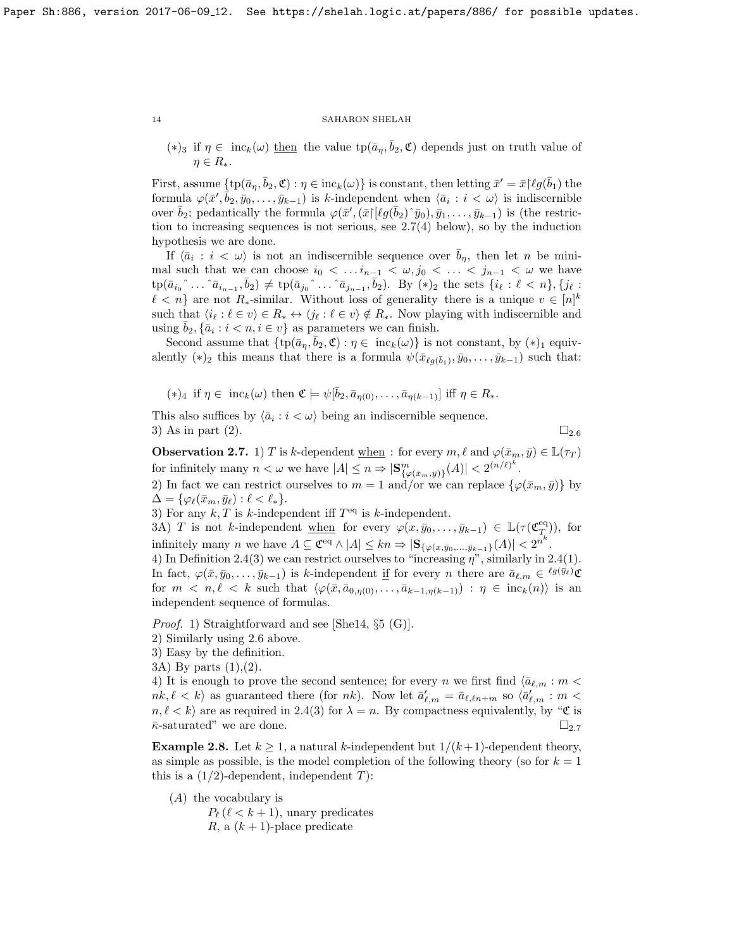$(*)_3$  if  $\eta \in \text{inc}_k(\omega)$  then the value  $\text{tp}(\bar{a}_{\eta}, \bar{b}_2, \mathfrak{C})$  depends just on truth value of  $\eta \in R_*$ .

First, assume  $\{\text{tp}(\bar{a}_{\eta}, \bar{b}_2, \mathfrak{C}) : \eta \in \text{inc}_k(\omega)\}\$ is constant, then letting  $\bar{x}' = \bar{x} {\upharpoonright} \ell g(\bar{b}_1)$  the formula  $\varphi(\bar{x}', \bar{b}_2, \bar{y}_0, \ldots, \bar{y}_{k-1})$  is k-independent when  $\langle \bar{a}_i : i < \omega \rangle$  is indiscernible over  $\bar{b}_2$ ; pedantically the formula  $\varphi(\bar{x}',(\bar{x})[\ell g(\bar{b}_2)^{\hat{}}\bar{y}_0), \bar{y}_1,\ldots,\bar{y}_{k-1})$  is (the restriction to increasing sequences is not serious, see [2.7\(](#page-13-0)4) below), so by the induction hypothesis we are done.

If  $\langle \bar{a}_i : i < \omega \rangle$  is not an indiscernible sequence over  $\bar{b}_\eta$ , then let n be minimal such that we can choose  $i_0 < \ldots i_{n-1} < \omega, j_0 < \ldots < j_{n-1} < \omega$  we have  $tp(\bar{a}_{i_0} \hat{\ } \ldots \hat{\ } \bar{a}_{i_{n-1}}, \bar{b}_2) \neq tp(\bar{a}_{j_0} \hat{\ } \ldots \hat{\ } \bar{a}_{j_{n-1}}, \bar{b}_2)$ . By  $(*)_2$  the sets  $\{i_\ell : \ell < n\}, \{j_\ell : \ell \leq n\}$  $\ell < n$  are not R<sub>\*</sub>-similar. Without loss of generality there is a unique  $v \in [n]^k$ such that  $\langle i_\ell : \ell \in v \rangle \in R_* \leftrightarrow \langle j_\ell : \ell \in v \rangle \notin R_*$ . Now playing with indiscernible and using  $\bar{b}_2$ ,  $\{\bar{a}_i : i < n, i \in v\}$  as parameters we can finish.

Second assume that  $\{\text{tp}(\bar{a}_\eta, \bar{b}_2, \mathfrak{C}) : \eta \in \text{inc}_k(\omega)\}\$ is not constant, by  $(*)_1$  equivalently  $(*)_2$  this means that there is a formula  $\psi(\bar{x}_{\ell g(\bar{b}_1)}, \bar{y}_0, \ldots, \bar{y}_{k-1})$  such that:

 $(*)_4$  if  $\eta \in \text{inc}_k(\omega)$  then  $\mathfrak{C} \models \psi[\bar{b}_2, \bar{a}_{\eta(0)}, \ldots, \bar{a}_{\eta(k-1)}]$  iff  $\eta \in R_*$ .

This also suffices by  $\langle \bar{a}_i : i < \omega \rangle$  being an indiscernible sequence. 3) As in part ([2](#page-12-0)).  $\Box_{2.6}$ 

<span id="page-13-0"></span>**Observation 2.7.** 1) T is k-dependent <u>when</u> : for every  $m, \ell$  and  $\varphi(\bar{x}_m, \bar{y}) \in \mathbb{L}(\tau_T)$ for infinitely many  $n < \omega$  we have  $|A| \leq n \Rightarrow |\mathbf{S}_{\{\varphi(\bar{x}_m, \bar{y})\}}^m(A)| < 2^{(n/\ell)^k}$ .

2) In fact we can restrict ourselves to  $m = 1$  and/or we can replace  $\{\varphi(\bar{x}_m, \bar{y})\}$  by  $\Delta = \{ \varphi_\ell(\bar{x}_m, \bar{y}_\ell) : \ell < \ell_* \}.$ 

3) For any  $k, T$  is k-independent iff  $T<sup>eq</sup>$  is k-independent.

3A) T is not k-independent when for every  $\varphi(x, \bar{y}_0, \ldots, \bar{y}_{k-1}) \in \mathbb{L}(\tau(\mathfrak{C}_T^{\text{eq}}))$ , for infinitely many *n* we have  $A \subseteq \mathfrak{C}^{\text{eq}} \wedge |A| \le kn \Rightarrow |\mathbf{S}_{\{\varphi(x,\bar{y}_0,\ldots,\bar{y}_{k-1}\}}(A)| < 2^{n^k}$ .

4) In Definition [2.4\(](#page-11-0)3) we can restrict ourselves to "increasing  $\eta$ ", similarly in 2.4(1). In fact,  $\varphi(\bar{x}, \bar{y}_0, \ldots, \bar{y}_{k-1})$  is k-independent if for every n there are  $\bar{a}_{\ell,m} \in {}^{\ell g(\bar{y}_{\ell})}\mathfrak{C}$ for  $m \lt n, \ell \lt k$  such that  $\langle \varphi(\bar{x}, \bar{a}_{0,\eta(0)}, \ldots, \bar{a}_{k-1,\eta(k-1)}) : \eta \in \text{inc}_k(n) \rangle$  is an independent sequence of formulas.

Proof. 1) Straightforward and see [\[She14,](#page-18-1) §5 (G)].

- 2) Similarly using [2.6](#page-12-0) above.
- 3) Easy by the definition.
- 3A) By parts (1),(2).

4) It is enough to prove the second sentence; for every n we first find  $\langle \bar{a}_{\ell,m} : m \langle \rangle$  $nk, \ell < k$  as guaranteed there (for nk). Now let  $\bar{a}'_{\ell,m} = \bar{a}_{\ell,\ell n+m}$  so  $\langle \bar{a}'_{\ell,m} : m <$  $n, \ell < k$  are as required in [2.4\(](#page-11-0)3) for  $\lambda = n$ . By compactness equivalently, by "C is  $\bar{\kappa}$ -saturated" we are done.

<span id="page-13-1"></span>**Example 2.8.** Let  $k \geq 1$ , a natural k-independent but  $1/(k+1)$ -dependent theory, as simple as possible, is the model completion of the following theory (so for  $k = 1$ ) this is a  $(1/2)$ -dependent, independent T):

(A) the vocabulary is

 $P_{\ell}$  ( $\ell < k + 1$ ), unary predicates R, a  $(k + 1)$ -place predicate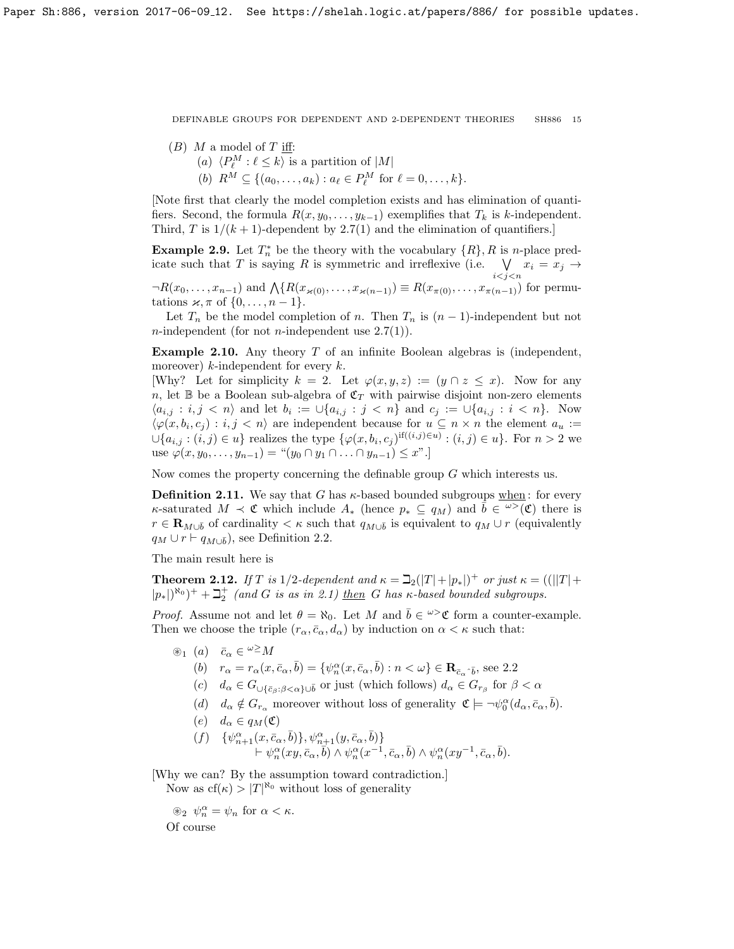- $(B)$  M a model of T iff:
	- (a)  $\langle P_{\ell}^M : \ell \leq k \rangle$  is a partition of  $|M|$
	- (b)  $R^M \subseteq \{(a_0, \ldots, a_k) : a_\ell \in P_\ell^M \text{ for } \ell = 0, \ldots, k\}.$

[Note first that clearly the model completion exists and has elimination of quantifiers. Second, the formula  $R(x, y_0, \ldots, y_{k-1})$  exemplifies that  $T_k$  is k-independent. Third, T is  $1/(k+1)$ -dependent by [2.7\(](#page-13-0)1) and the elimination of quantifiers.

**Example 2.9.** Let  $T_n^*$  be the theory with the vocabulary  $\{R\}$ , R is n-place predicate such that T is saying R is symmetric and irreflexive (i.e.  $\forall$  $\bigvee_{i < j < n} x_i = x_j \rightarrow$ 

 $\neg R(x_0, \ldots, x_{n-1})$  and  $\bigwedge \{ R(x_{\varkappa(0)}, \ldots, x_{\varkappa(n-1)}) \equiv R(x_{\pi(0)}, \ldots, x_{\pi(n-1)})$  for permutations  $\varkappa, \pi$  of  $\{0, \ldots, n-1\}.$ 

Let  $T_n$  be the model completion of n. Then  $T_n$  is  $(n-1)$ -independent but not *n*-independent (for not *n*-independent use  $2.7(1)$ ).

<span id="page-14-1"></span>**Example 2.10.** Any theory  $T$  of an infinite Boolean algebras is (independent, moreover) k-independent for every  $k$ .

[Why? Let for simplicity  $k = 2$ . Let  $\varphi(x, y, z) := (y \cap z \leq x)$ . Now for any n, let B be a Boolean sub-algebra of  $\mathfrak{C}_T$  with pairwise disjoint non-zero elements  $\langle a_{i,j} : i,j \langle n \rangle$  and let  $b_i := \bigcup \{a_{i,j} : j \langle n \rangle\}$  and  $c_j := \bigcup \{a_{i,j} : i \langle n \rangle\}$ . Now  $\langle \varphi(x, b_i, c_j) : i, j < n \rangle$  are independent because for  $u \subseteq n \times n$  the element  $a_u :=$  $\cup \{a_{i,j} : (i,j) \in u\}$  realizes the type  $\{\varphi(x, b_i, c_j)$ <sup>if( $(i,j) \in u\}$ </sup> :  $(i,j) \in u\}$ . For  $n > 2$  we use  $\varphi(x, y_0, \ldots, y_{n-1}) =$  " $(y_0 \cap y_1 \cap \ldots \cap y_{n-1}) \leq x$ ".

Now comes the property concerning the definable group  $G$  which interests us.

<span id="page-14-2"></span>**Definition 2.11.** We say that G has  $\kappa$ -based bounded subgroups when: for every κ-saturated  $M \prec \mathfrak{C}$  which include  $A_*$  (hence  $p_* \subseteq q_M$ ) and  $\bar{b} \in \overline{\omega}{}(\mathfrak{C})$  there is  $r \in \mathbf{R}_{M\cup \bar{b}}$  of cardinality  $\lt \kappa$  such that  $q_{M\cup \bar{b}}$  is equivalent to  $q_M \cup r$  (equivalently  $q_M \cup r \vdash q_{M\cup \bar{b}}$ , see Definition [2.2.](#page-11-2)

The main result here is

<span id="page-14-0"></span>**Theorem 2.12.** If T is  $1/2$ -dependent and  $\kappa = \mathcal{L}_2(|T|+|p_*|)^+$  or just  $\kappa = (||T|+$  $|p_*|\rangle^{\aleph_0})^+ + \beth_2^+$  (and G is as in [2.1\)](#page-11-3) then G has  $\kappa$ -based bounded subgroups.

*Proof.* Assume not and let  $\theta = \aleph_0$ . Let M and  $\bar{b} \in \omega > \mathfrak{C}$  form a counter-example. Then we choose the triple  $(r_{\alpha}, \bar{c}_{\alpha}, d_{\alpha})$  by induction on  $\alpha < \kappa$  such that:

- $\circledast_1$  (a)  $\bar{c}_{\alpha} \in {}^{\omega \geq} M$ 
	- (b)  $r_{\alpha} = r_{\alpha}(x, \bar{c}_{\alpha}, \bar{b}) = \{ \psi_{n}^{\alpha}(x, \bar{c}_{\alpha}, \bar{b}) : n < \omega \} \in \mathbb{R}_{\bar{c}_{\alpha} \cdot \bar{b}}$ , see [2.2](#page-11-2)
	- (c)  $d_{\alpha} \in G_{\cup \{\bar{c}_{\beta}:\beta < \alpha\}\cup\bar{b}}$  or just (which follows)  $d_{\alpha} \in G_{r_{\beta}}$  for  $\beta < \alpha$
	- (d)  $d_{\alpha} \notin G_{r_{\alpha}}$  moreover without loss of generality  $\mathfrak{C} \models \neg \psi_0^{\alpha}(d_{\alpha}, \bar{c}_{\alpha}, \bar{b}).$
	- (e)  $d_{\alpha} \in q_M(\mathfrak{C})$
	- $(f) \{ \psi_{n+1}^{\alpha}(x, \bar{c}_{\alpha}, \bar{b}) \}, \psi_{n+1}^{\alpha}(y, \bar{c}_{\alpha}, \bar{b}) \}$  $\vdash \psi_n^{\alpha}(xy, \bar{c}_{\alpha}, \bar{b}) \wedge \psi_n^{\alpha}(x^{-1}, \bar{c}_{\alpha}, \bar{b}) \wedge \psi_n^{\alpha}(xy^{-1}, \bar{c}_{\alpha}, \bar{b}).$

[Why we can? By the assumption toward contradiction.]

Now as  $cf(\kappa) > |T|^{\aleph_0}$  without loss of generality

 $\circledast_2 \psi_n^{\alpha} = \psi_n \text{ for } \alpha < \kappa.$ Of course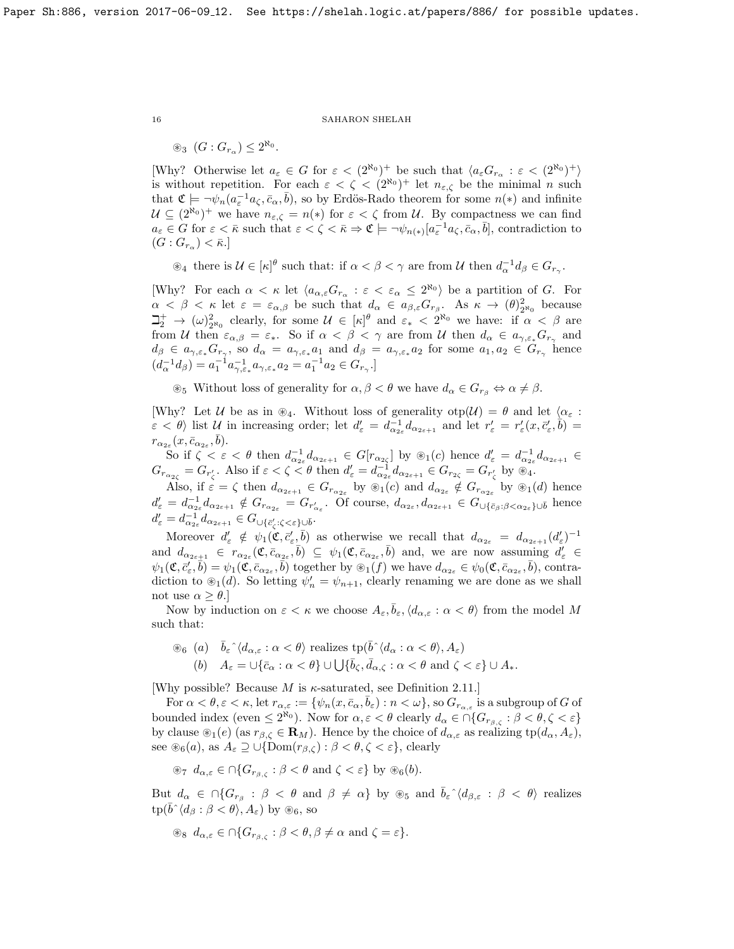$\circledast_3$   $(G: G_{r_\alpha}) \leq 2^{\aleph_0}.$ 

[Why? Otherwise let  $a_{\varepsilon} \in G$  for  $\varepsilon < (2^{\aleph_0})^+$  be such that  $\langle a_{\varepsilon} G_{r_{\alpha}} : \varepsilon < (2^{\aleph_0})^+ \rangle$ is without repetition. For each  $\varepsilon < \zeta < (2^{\aleph_0})^+$  let  $n_{\varepsilon,\zeta}$  be the minimal n such that  $\mathfrak{C} \models \neg \psi_n(a_{\varepsilon}^{-1}a_{\zeta}, \bar{c}_{\alpha}, \bar{b}),$  so by Erdös-Rado theorem for some  $n(*)$  and infinite  $\mathcal{U} \subseteq (2^{\aleph_0})^+$  we have  $n_{\varepsilon,\zeta} = n(*)$  for  $\varepsilon < \zeta$  from  $\mathcal{U}$ . By compactness we can find  $a_{\varepsilon} \in G$  for  $\varepsilon < \bar{\kappa}$  such that  $\varepsilon < \zeta < \bar{\kappa} \Rightarrow \mathfrak{C} \models \neg \psi_{n(*)}[a_{\varepsilon}^{-1} a_{\zeta}, \bar{c}_{\alpha}, \bar{b}],$  contradiction to  $(G:G_{r_{\alpha}})<\bar{\kappa}.$ 

 $\mathcal{A}_4$  there is  $\mathcal{U} \in [\kappa]^{\theta}$  such that: if  $\alpha < \beta < \gamma$  are from U then  $d_{\alpha}^{-1} d_{\beta} \in G_{r_{\gamma}}$ .

[Why? For each  $\alpha < \kappa$  let  $\langle a_{\alpha,\varepsilon}G_{r_\alpha} : \varepsilon < \varepsilon_\alpha \leq 2^{\aleph_0} \rangle$  be a partition of G. For  $\alpha < \beta < \kappa$  let  $\varepsilon = \varepsilon_{\alpha,\beta}$  be such that  $d_{\alpha} \in a_{\beta,\varepsilon}G_{r_{\beta}}$ . As  $\kappa \to (\theta)_{2^{\aleph_0}}^2$  because  $\Box_2^+ \to (\omega)_{2^{\aleph_0}}^2$  clearly, for some  $\mathcal{U} \in [\kappa]^\theta$  and  $\varepsilon_* < 2^{\aleph_0}$  we have: if  $\alpha < \beta$  are from U then  $\varepsilon_{\alpha,\beta} = \varepsilon_*$ . So if  $\alpha < \beta < \gamma$  are from U then  $d_{\alpha} \in a_{\gamma,\varepsilon_*} G_{r_{\gamma}}$  and  $d_{\beta} \in a_{\gamma,\varepsilon_*} G_{r_{\gamma}},$  so  $d_{\alpha} = a_{\gamma,\varepsilon_*} a_1$  and  $d_{\beta} = a_{\gamma,\varepsilon_*} a_2$  for some  $a_1, a_2 \in G_{r_{\gamma}}$  hence  $(d_{\alpha}^{-1}d_{\beta}) = a_1^{-1}a_{\gamma,\varepsilon_*}^{-1}a_{\gamma,\varepsilon_*}a_2 = a_1^{-1}a_2 \in G_{r_{\gamma}}.$ 

 $\otimes_5$  Without loss of generality for  $\alpha, \beta < \theta$  we have  $d_{\alpha} \in G_{r_{\beta}} \Leftrightarrow \alpha \neq \beta$ .

[Why? Let U be as in  $\mathcal{L}_4$ . Without loss of generality  $otp(\mathcal{U}) = \theta$  and let  $\langle \alpha_{\varepsilon} :$  $\varepsilon < \theta$  list U in increasing order; let  $d'_{\varepsilon} = d_{\alpha_{2\varepsilon}}^{-1} d_{\alpha_{2\varepsilon+1}}$  and let  $r'_{\varepsilon} = r'_{\varepsilon}(x, \bar{c}'_{\varepsilon}, \bar{b}) =$  $r_{\alpha_{2\varepsilon}}(x,\bar{c}_{\alpha_{2\varepsilon}},\bar{b}).$ 

So if  $\zeta < \varepsilon < \theta$  then  $d_{\alpha_{2\varepsilon}}^{-1} d_{\alpha_{2\varepsilon+1}} \in G[r_{\alpha_{2\varepsilon}}]$  by  $\otimes_1(c)$  hence  $d'_{\varepsilon} = d_{\alpha_{2\varepsilon}}^{-1} d_{\alpha_{2\varepsilon+1}} \in$  $G_{r_{\alpha_{2\zeta}}} = G_{r'_\zeta}$ . Also if  $\varepsilon < \zeta < \theta$  then  $d'_{\varepsilon} = d_{\alpha_{2\varepsilon}}^{-1} d_{\alpha_{2\varepsilon+1}} \in G_{r_{2\zeta}} = G_{r'_\zeta}$  by  $\mathcal{L}_4$ .

Also, if  $\varepsilon = \zeta$  then  $d_{\alpha_{2\varepsilon+1}} \in G_{r_{\alpha_{2\varepsilon}}}$  by  $\circledast_1(c)$  and  $d_{\alpha_{2\varepsilon}} \notin G_{r_{\alpha_{2\varepsilon}}}$  by  $\circledast_1(d)$  hence  $d'_{\varepsilon} = d_{\alpha_{2\varepsilon}}^{-1} d_{\alpha_{2\varepsilon+1}} \notin G_{r_{\alpha_{2\varepsilon}}} = G_{r'_{\alpha_{\varepsilon}}}$ . Of course,  $d_{\alpha_{2\varepsilon}}, d_{\alpha_{2\varepsilon+1}} \in G_{\cup{\{\bar{c}_{\beta}}:\beta<\alpha_{2\varepsilon}\}\cup\bar{b}}$  hence  $d'_\varepsilon = d_{\alpha_{2\varepsilon}}^{-1} d_{\alpha_{2\varepsilon+1}} \in G_{\cup\{\bar{c}'_{\zeta}:\zeta<\varepsilon\}\cup\bar{b}}.$ 

Moreover  $d'_{\varepsilon} \notin \psi_1(\mathfrak{C}, \bar{c}'_{\varepsilon}, \bar{b})$  as otherwise we recall that  $d_{\alpha_{2\varepsilon}} = d_{\alpha_{2\varepsilon+1}}(d'_{\varepsilon})^{-1}$ and  $d_{\alpha_{2\varepsilon+1}} \in r_{\alpha_{2\varepsilon}}(\mathfrak{C}, \overline{c}_{\alpha_{2\varepsilon}}, \overline{b}) \subseteq \psi_1(\mathfrak{C}, \overline{c}_{\alpha_{2\varepsilon}}, \overline{b})$  and, we are now assuming  $d'_{\varepsilon} \in$  $\psi_1(\mathfrak{C}, \overline{c}'_s, \overline{b}) = \psi_1(\overline{\mathfrak{C}}, \overline{c}_{\alpha_{2\varepsilon}}, \overline{b})$  together by  $\mathfrak{B}_1(f)$  we have  $d_{\alpha_{2\varepsilon}} \in \psi_0(\mathfrak{C}, \overline{c}_{\alpha_{2\varepsilon}}, \overline{b})$ , contradiction to  $\mathcal{L}_1(d)$ . So letting  $\psi'_n = \psi_{n+1}$ , clearly renaming we are done as we shall not use  $\alpha \geq \theta$ .

Now by induction on  $\varepsilon < \kappa$  we choose  $A_{\varepsilon}, \overline{b}_{\varepsilon}, \langle d_{\alpha,\varepsilon} : \alpha < \theta \rangle$  from the model M such that:

$$
\begin{aligned}\n\textcircled{\tiny{86}} \ \text{(\textit{a})} \quad &\bar{b}_{\varepsilon} \hat{\;} \langle d_{\alpha,\varepsilon} : \alpha < \theta \rangle \text{ realizes } \text{tp}(\bar{b} \hat{\;} \langle d_{\alpha} : \alpha < \theta \rangle, A_{\varepsilon}) \\
\text{(\textit{b})} \quad &A_{\varepsilon} = \cup \{\bar{c}_{\alpha} : \alpha < \theta\} \cup \bigcup \{\bar{b}_{\zeta}, \bar{d}_{\alpha,\zeta} : \alpha < \theta \text{ and } \zeta < \varepsilon\} \cup A_{*}.\n\end{aligned}
$$

[Why possible? Because M is  $\kappa$ -saturated, see Definition [2.11.](#page-14-2)]

For  $\alpha < \theta, \varepsilon < \kappa$ , let  $r_{\alpha,\varepsilon} := \{ \psi_n(x, \bar{c}_\alpha, \bar{b}_\varepsilon) : n < \omega \}$ , so  $G_{r_{\alpha,\varepsilon}}$  is a subgroup of G of bounded index (even  $\leq 2^{\aleph_0}$ ). Now for  $\alpha, \varepsilon < \theta$  clearly  $d_\alpha \in \bigcap \{G_{r_{\beta,\zeta}} : \beta < \theta, \zeta < \varepsilon\}$ by clause  $\mathcal{F}_1(e)$  (as  $r_{\beta,\zeta} \in \mathbf{R}_M$ ). Hence by the choice of  $d_{\alpha,\varepsilon}$  as realizing  $tp(d_{\alpha}, A_{\varepsilon})$ , see  $\mathcal{L}_6(a)$ , as  $A_\varepsilon \supseteq \bigcup{\text{Dom}(r_{\beta,\zeta})} : \beta < \theta, \zeta < \varepsilon\}$ , clearly

$$
\circledast_7
$$
  $d_{\alpha,\varepsilon} \in \bigcap \{G_{r_{\beta,\zeta}} : \beta < \theta \text{ and } \zeta < \varepsilon\}$  by  $\circledast_6(b)$ .

But  $d_{\alpha} \in \bigcap \{ G_{r_{\beta}} : \beta < \theta \text{ and } \beta \neq \alpha \}$  by  $\circledast_5$  and  $\overline{b}_{\varepsilon} \hat{\;} \langle d_{\beta,\varepsilon} : \beta < \theta \rangle$  realizes  $tp(b^{\hat{ }} \langle d_{\beta} : \beta < \theta \rangle, A_{\varepsilon})$  by  $\circledast_6$ , so

$$
\circledast_s d_{\alpha,\varepsilon} \in \cap \{ G_{r_{\beta,\zeta}} : \beta < \theta, \beta \neq \alpha \text{ and } \zeta = \varepsilon \}.
$$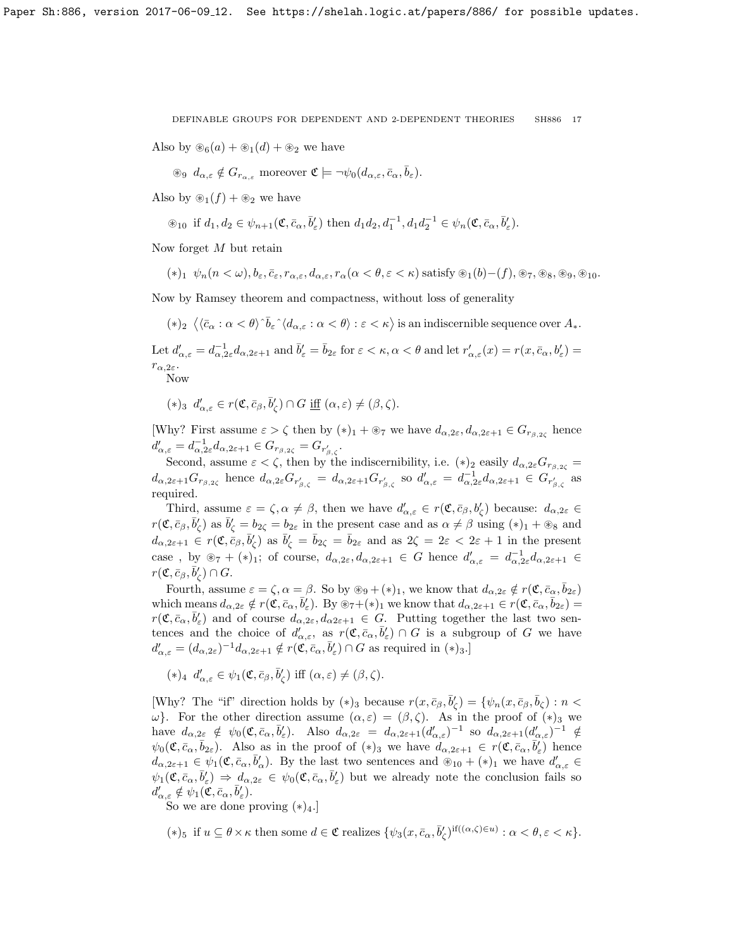Also by  $\mathcal{L}_6(a) + \mathcal{L}_1(d) + \mathcal{L}_2$  we have

$$
\text{ as } d_{\alpha,\varepsilon} \notin G_{r_{\alpha,\varepsilon}} \text{ moreover } \mathfrak{C} \models \neg \psi_0(d_{\alpha,\varepsilon},\bar{c}_\alpha,\bar{b}_\varepsilon).
$$

Also by  $\mathcal{L}_1(f) + \mathcal{L}_2$  we have

$$
\circledast_{10} \text{ if } d_1,d_2 \in \psi_{n+1}(\mathfrak{C}, \bar{c}_{\alpha}, \bar{b}_{\varepsilon}') \text{ then } d_1d_2, d_1^{-1}, d_1d_2^{-1} \in \psi_n(\mathfrak{C}, \bar{c}_{\alpha}, \bar{b}_{\varepsilon}').
$$

Now forget M but retain

$$
(*)_1 \psi_n(n<\omega), b_{\varepsilon}, \bar{c}_{\varepsilon}, r_{\alpha,\varepsilon}, d_{\alpha,\varepsilon}, r_{\alpha}(\alpha<\theta,\varepsilon<\kappa) \text{ satisfy } \circledast_1(b)-(f), \circledast_7, \circledast_8, \circledast_9, \circledast_{10}.
$$

Now by Ramsey theorem and compactness, without loss of generality

 $(*)_2 \langle \langle \bar{c}_\alpha : \alpha < \theta \rangle \hat{b}_\varepsilon \hat{\;} \langle d_{\alpha,\varepsilon} : \alpha < \theta \rangle : \varepsilon < \kappa \rangle \text{ is an indiscernible sequence over } A_*$ .

Let  $d'_{\alpha,\varepsilon} = d_{\alpha,2\varepsilon}^{-1} d_{\alpha,2\varepsilon+1}$  and  $\bar{b}'_{\varepsilon} = \bar{b}_{2\varepsilon}$  for  $\varepsilon < \kappa, \alpha < \theta$  and let  $r'_{\alpha,\varepsilon}(x) = r(x,\bar{c}_{\alpha},b'_{\varepsilon}) =$  $r_{\alpha,2\varepsilon}$ .

Now

 $(*)_3 \, d'_{\alpha,\varepsilon} \in r(\mathfrak{C}, \bar{c}_{\beta}, \bar{b}'_{\zeta}) \cap G \underline{\text{iff}} (\alpha, \varepsilon) \neq (\beta, \zeta).$ 

[Why? First assume  $\varepsilon > \zeta$  then by  $(*)_1 + \otimes_7$  we have  $d_{\alpha,2\varepsilon}, d_{\alpha,2\varepsilon+1} \in G_{r\beta,2\varepsilon}$  hence  $d'_{\alpha,\varepsilon} = d_{\alpha,2\varepsilon}^{-1} d_{\alpha,2\varepsilon+1} \in G_{r_{\beta,2\zeta}} = G_{r'_{\beta,\zeta}}.$ 

Second, assume  $\varepsilon < \zeta$ , then by the indiscernibility, i.e.  $(*)_2$  easily  $d_{\alpha,2\varepsilon}G_{r_{\beta,2\varepsilon}}=$  $d_{\alpha,2\varepsilon+1}G_{r_{\beta,2\zeta}}$  hence  $d_{\alpha,2\varepsilon}G_{r'_{\beta,\zeta}}=d_{\alpha,2\varepsilon+1}G_{r'_{\beta,\zeta}}$  so  $d'_{\alpha,\varepsilon}=d_{\alpha,2\varepsilon}^{-1}d_{\alpha,2\varepsilon+1}\in G_{r'_{\beta,\zeta}}$  as required.

Third, assume  $\varepsilon = \zeta, \alpha \neq \beta$ , then we have  $d'_{\alpha,\varepsilon} \in r(\mathfrak{C}, \bar{c}_{\beta}, b'_{\zeta})$  because:  $d_{\alpha,2\varepsilon} \in$  $r(\mathfrak{C}, \bar{c}_{\beta}, \bar{b}'_{\zeta})$  as  $\bar{b}'_{\zeta} = b_{2\zeta} = b_{2\varepsilon}$  in the present case and as  $\alpha \neq \beta$  using  $(*)_1 + \otimes_8$  and  $d_{\alpha,2\varepsilon+1} \in r(\mathfrak{C}, \overline{c}_{\beta}, \overline{b}'_{\zeta})$  as  $\overline{b}'_{\zeta} = \overline{b}_{2\zeta} = \overline{b}_{2\varepsilon}$  and as  $2\zeta = 2\varepsilon < 2\varepsilon + 1$  in the present case, by  $\mathcal{L}_7 + (\ast)_1$ ; of course,  $d_{\alpha,2\varepsilon}, d_{\alpha,2\varepsilon+1} \in G$  hence  $d'_{\alpha,\varepsilon} = d_{\alpha,2\varepsilon}^{-1} d_{\alpha,2\varepsilon+1} \in$  $r(\mathfrak{C}, \bar{c}_{\beta}, \bar{b}'_{\zeta}) \cap G.$ 

Fourth, assume  $\varepsilon = \zeta$ ,  $\alpha = \beta$ . So by  $\circledast_9 + (\ast)_1$ , we know that  $d_{\alpha,2\varepsilon} \notin r(\mathfrak{C}, \bar{c}_{\alpha}, \bar{b}_{2\varepsilon})$ which means  $d_{\alpha,2\varepsilon} \notin r(\mathfrak{C}, \bar{c}_{\alpha}, \bar{b}'_{\varepsilon})$ . By  $\circledast_7 + (\ast)_1$  we know that  $d_{\alpha,2\varepsilon+1} \in r(\mathfrak{C}, \bar{c}_{\alpha}, \bar{b}_{2\varepsilon}) =$  $r(\mathfrak{C}, \bar{c}_{\alpha}, \bar{b}'_{\varepsilon})$  and of course  $d_{\alpha,2\varepsilon}, d_{\alpha2\varepsilon+1} \in G$ . Putting together the last two sentences and the choice of  $d'_{\alpha,\varepsilon}$ , as  $r(\mathfrak{C},\bar{c}_\alpha,\bar{b}'_{\varepsilon})\cap G$  is a subgroup of G we have  $d'_{\alpha,\varepsilon} = (d_{\alpha,2\varepsilon})^{-1} d_{\alpha,2\varepsilon+1} \notin r(\mathfrak{C}, \bar{c}_{\alpha}, \bar{b}'_{\varepsilon}) \cap G$  as required in  $(*)_{3}.$ 

 $(*)_4$   $d'_{\alpha,\varepsilon} \in \psi_1(\mathfrak{C}, \bar{c}_{\beta}, \bar{b}'_{\zeta})$  iff  $(\alpha, \varepsilon) \neq (\beta, \zeta)$ .

[Why? The "if" direction holds by  $(*)_3$  because  $r(x, \bar{c}_{\beta}, \bar{b}'_{\zeta}) = \{ \psi_n(x, \bar{c}_{\beta}, \bar{b}_{\zeta}) : n <$ ω}. For the other direction assume  $(α, ε) = (β, ζ)$ . As in the proof of  $(*)_3$  we have  $d_{\alpha,2\varepsilon} \notin \psi_0(\mathfrak{C}, \bar{c}_\alpha, \bar{b}_\varepsilon')$ . Also  $d_{\alpha,2\varepsilon} = d_{\alpha,2\varepsilon+1}(d'_{\alpha,\varepsilon})^{-1}$  so  $d_{\alpha,2\varepsilon+1}(d'_{\alpha,\varepsilon})^{-1} \notin$  $\psi_0(\mathfrak{C}, \bar{c}_{\alpha}, \bar{b}_{2\varepsilon})$ . Also as in the proof of  $(*)_3$  we have  $d_{\alpha,2\varepsilon+1} \in r(\mathfrak{C}, \bar{c}_{\alpha}, \bar{b}'_{\varepsilon})$  hence  $d_{\alpha,2\varepsilon+1} \in \psi_1(\mathfrak{C}, \bar{c}_\alpha, \bar{b}'_\alpha)$ . By the last two sentences and  $\mathfrak{D}_{10} + (*)_1$  we have  $d'_{\alpha,\varepsilon} \in$  $\psi_1(\mathfrak{C}, \bar{c}_{\alpha}, \bar{b}'_{\varepsilon}) \Rightarrow d_{\alpha,2\varepsilon} \in \psi_0(\mathfrak{C}, \bar{c}_{\alpha}, \bar{b}'_{\varepsilon})$  but we already note the conclusion fails so  $d'_{\alpha,\varepsilon} \notin \psi_1(\mathfrak{C}, \bar{c}_\alpha, \bar{b}'_\varepsilon).$ 

So we are done proving  $(*)_4$ .

(\*)<sub>5</sub> if  $u \subseteq \theta \times \kappa$  then some  $d \in \mathfrak{C}$  realizes  $\{\psi_3(x, \bar{c}_\alpha, \bar{b}_\zeta')^{\text{if}((\alpha,\zeta) \in u)} : \alpha < \theta, \varepsilon < \kappa\}.$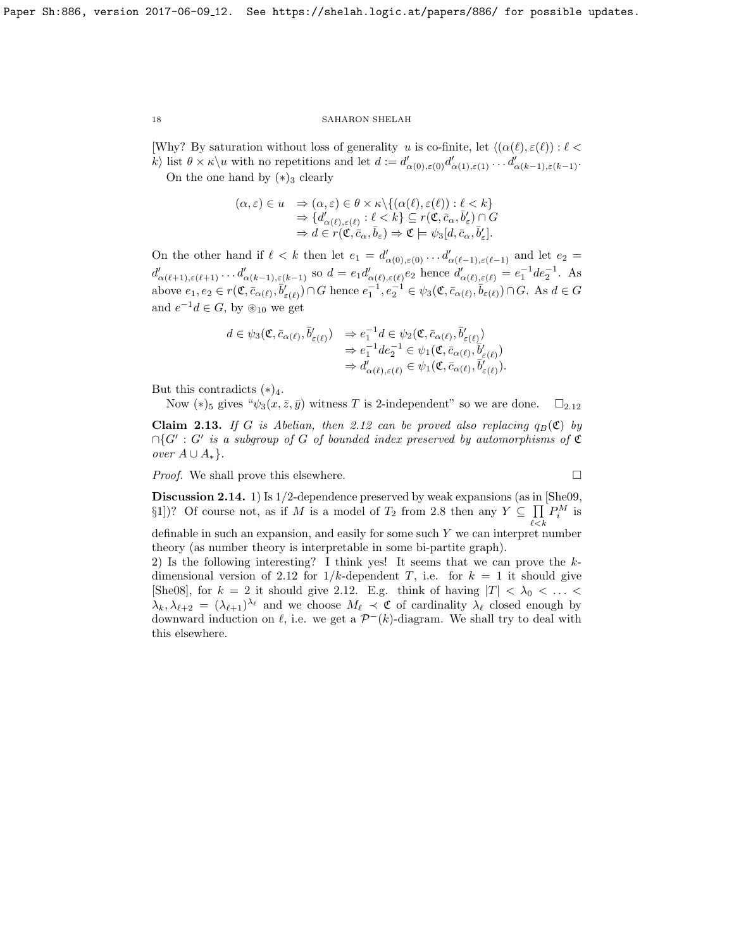[Why? By saturation without loss of generality u is co-finite, let  $\langle (\alpha(\ell), \varepsilon(\ell)) : \ell <$ k) list  $\theta \times \kappa \setminus u$  with no repetitions and let  $d := d'_{\alpha(0),\varepsilon(0)} d'_{\alpha(1),\varepsilon(1)} \dots d'_{\alpha(k-1),\varepsilon(k-1)}$ . On the one hand by  $(*)_3$  clearly

$$
(\alpha, \varepsilon) \in u \quad \Rightarrow (\alpha, \varepsilon) \in \theta \times \kappa \setminus \{ (\alpha(\ell), \varepsilon(\ell)) : \ell < k \} \n\Rightarrow \{ d'_{\alpha(\ell), \varepsilon(\ell)} : \ell < k \} \subseteq r(\mathfrak{C}, \bar{c}_{\alpha}, \bar{b}'_{\varepsilon}) \cap G \n\Rightarrow d \in r(\mathfrak{C}, \bar{c}_{\alpha}, \bar{b}_{\varepsilon}) \Rightarrow \mathfrak{C} \models \psi_3[d, \bar{c}_{\alpha}, \bar{b}'_{\varepsilon}].
$$

On the other hand if  $\ell < k$  then let  $e_1 = d'_{\alpha(0),\varepsilon(0)} \ldots d'_{\alpha(\ell-1),\varepsilon(\ell-1)}$  and let  $e_2 =$  $d'_{\alpha(\ell+1),\varepsilon(\ell+1)}\dots d'_{\alpha(k-1),\varepsilon(k-1)}$  so  $d = e_1 d'_{\alpha(\ell),\varepsilon(\ell)} e_2$  hence  $d'_{\alpha(\ell),\varepsilon(\ell)} = e_1^{-1} d e_2^{-1}$ . As above  $e_1, e_2 \in r(\mathfrak{C}, \overline{c}_{\alpha(\ell)}, \overline{b}_{\varepsilon(\ell)}') \cap G$  hence  $e_1^{-1}, e_2^{-1} \in \psi_3(\mathfrak{C}, \overline{c}_{\alpha(\ell)}, \overline{b}_{\varepsilon(\ell)}) \cap G$ . As  $d \in G$ and  $e^{-1}d \in G$ , by  $\mathscr{L}_{10}$  we get

$$
d \in \psi_3(\mathfrak{C}, \bar{c}_{\alpha(\ell)}, \bar{b}'_{\varepsilon(\ell)}) \Rightarrow e_1^{-1} d \in \psi_2(\mathfrak{C}, \bar{c}_{\alpha(\ell)}, \bar{b}'_{\varepsilon(\ell)}) \n\Rightarrow e_1^{-1} d e_2^{-1} \in \psi_1(\mathfrak{C}, \bar{c}_{\alpha(\ell)}, \bar{b}'_{\varepsilon(\ell)}) \n\Rightarrow d'_{\alpha(\ell), \varepsilon(\ell)} \in \psi_1(\mathfrak{C}, \bar{c}_{\alpha(\ell)}, \bar{b}'_{\varepsilon(\ell)}).
$$

But this contradicts  $(*)_4$ .

Now  $(*)_5$  gives " $\psi_3(x, \bar{z}, \bar{y})$  witness T is 2-independent" so we are done.  $\square_{2,12}$  $\square_{2,12}$  $\square_{2,12}$ 

Claim 2.13. If G is Abelian, then [2.12](#page-14-0) can be proved also replacing  $q_B(\mathfrak{C})$  by  $\bigcap G' : G'$  is a subgroup of G of bounded index preserved by automorphisms of C over  $A \cup A_*$ .

*Proof.* We shall prove this elsewhere.  $\square$ 

Discussion 2.14. 1) Is  $1/2$ -dependence preserved by weak expansions (as in [\[She09,](#page-18-6)  $\S1$ )? Of course not, as if M is a model of  $T_2$  from [2.8](#page-13-1) then any  $Y \subseteq \prod$  $_{\ell < k}$  $P_i^M$  is

definable in such an expansion, and easily for some such Y we can interpret number theory (as number theory is interpretable in some bi-partite graph).

2) Is the following interesting? I think yes! It seems that we can prove the k-dimensional version of [2.12](#page-14-0) for  $1/k$ -dependent T, i.e. for  $k = 1$  it should give [\[She08\]](#page-18-0), for  $k = 2$  it should give [2.12.](#page-14-0) E.g. think of having  $|T| < \lambda_0 < \ldots <$  $\lambda_k, \lambda_{\ell+2} = (\lambda_{\ell+1})^{\lambda_{\ell}}$  and we choose  $M_{\ell} \prec \mathfrak{C}$  of cardinality  $\lambda_{\ell}$  closed enough by downward induction on  $\ell$ , i.e. we get a  $\mathcal{P}^{-}(k)$ -diagram. We shall try to deal with this elsewhere.